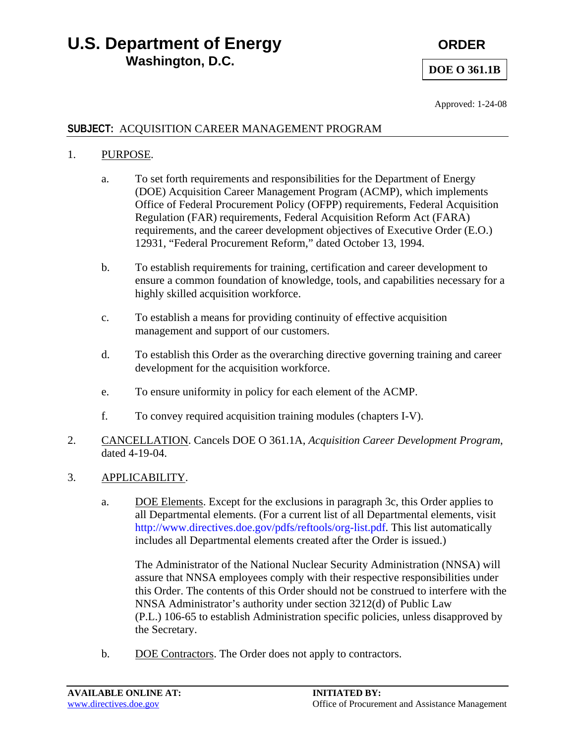## **U.S. Department of Energy CRDER CRDER Washington, D.C.**

#### **DOE O 361.1B**

Approved: 1-24-08

#### **SUBJECT:** ACQUISITION CAREER MANAGEMENT PROGRAM

#### 1. PURPOSE.

- a. To set forth requirements and responsibilities for the Department of Energy (DOE) Acquisition Career Management Program (ACMP), which implements Office of Federal Procurement Policy (OFPP) requirements, Federal Acquisition Regulation (FAR) requirements, Federal Acquisition Reform Act (FARA) requirements, and the career development objectives of Executive Order (E.O.) 12931, "Federal Procurement Reform," dated October 13, 1994.
- b. To establish requirements for training, certification and career development to ensure a common foundation of knowledge, tools, and capabilities necessary for a highly skilled acquisition workforce.
- c. To establish a means for providing continuity of effective acquisition management and support of our customers.
- d. To establish this Order as the overarching directive governing training and career development for the acquisition workforce.
- e. To ensure uniformity in policy for each element of the ACMP.
- f. To convey required acquisition training modules (chapters I-V).
- 2. CANCELLATION. Cancels DOE O 361.1A, *Acquisition Career Development Program*, dated 4-19-04.
- 3. APPLICABILITY.
	- a. DOE Elements. Except for the exclusions in paragraph 3c, this Order applies to all Departmental elements. (For a current list of all Departmental elements, visit http://www.directives.doe.gov/pdfs/reftools/org-list.pdf. This list automatically includes all Departmental elements created after the Order is issued.)

The Administrator of the National Nuclear Security Administration (NNSA) will assure that NNSA employees comply with their respective responsibilities under this Order. The contents of this Order should not be construed to interfere with the NNSA Administrator's authority under section 3212(d) of Public Law (P.L.) 106-65 to establish Administration specific policies, unless disapproved by the Secretary.

b. DOE Contractors. The Order does not apply to contractors.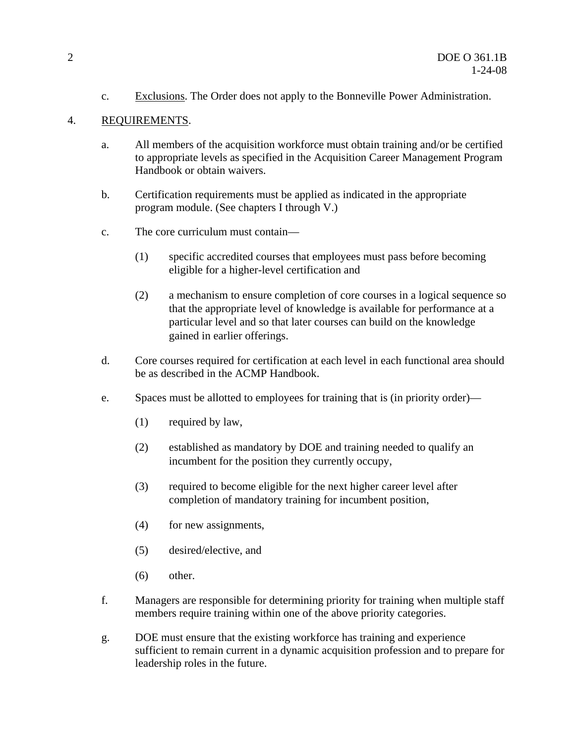c. Exclusions. The Order does not apply to the Bonneville Power Administration.

#### 4. REQUIREMENTS.

- a. All members of the acquisition workforce must obtain training and/or be certified to appropriate levels as specified in the Acquisition Career Management Program Handbook or obtain waivers.
- b. Certification requirements must be applied as indicated in the appropriate program module. (See chapters I through V.)
- c. The core curriculum must contain—
	- (1) specific accredited courses that employees must pass before becoming eligible for a higher-level certification and
	- (2) a mechanism to ensure completion of core courses in a logical sequence so that the appropriate level of knowledge is available for performance at a particular level and so that later courses can build on the knowledge gained in earlier offerings.
- d. Core courses required for certification at each level in each functional area should be as described in the ACMP Handbook.
- e. Spaces must be allotted to employees for training that is (in priority order)—
	- (1) required by law,
	- (2) established as mandatory by DOE and training needed to qualify an incumbent for the position they currently occupy,
	- (3) required to become eligible for the next higher career level after completion of mandatory training for incumbent position,
	- (4) for new assignments,
	- (5) desired/elective, and
	- (6) other.
- f. Managers are responsible for determining priority for training when multiple staff members require training within one of the above priority categories.
- g. DOE must ensure that the existing workforce has training and experience sufficient to remain current in a dynamic acquisition profession and to prepare for leadership roles in the future.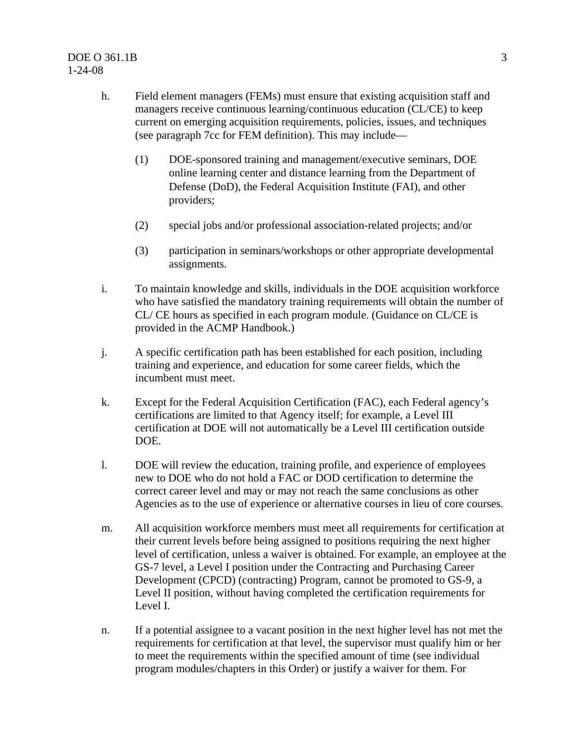- h. Field element managers (FEMs) must ensure that existing acquisition staff and managers receive continuous learning/continuous education (CL/CE) to keep current on emerging acquisition requirements, policies, issues, and techniques (see paragraph 7cc for FEM definition). This may include—
	- (1) DOE-sponsored training and management/executive seminars, DOE online learning center and distance learning from the Department of Defense (DoD), the Federal Acquisition Institute (FAI), and other providers;
	- (2) special jobs and/or professional association-related projects; and/or
	- (3) participation in seminars/workshops or other appropriate developmental assignments.
- i. To maintain knowledge and skills, individuals in the DOE acquisition workforce who have satisfied the mandatory training requirements will obtain the number of CL/ CE hours as specified in each program module. (Guidance on CL/CE is provided in the ACMP Handbook.)
- j. A specific certification path has been established for each position, including training and experience, and education for some career fields, which the incumbent must meet.
- k. Except for the Federal Acquisition Certification (FAC), each Federal agency's certifications are limited to that Agency itself; for example, a Level III certification at DOE will not automatically be a Level III certification outside DOE.
- l. DOE will review the education, training profile, and experience of employees new to DOE who do not hold a FAC or DOD certification to determine the correct career level and may or may not reach the same conclusions as other Agencies as to the use of experience or alternative courses in lieu of core courses.
- m. All acquisition workforce members must meet all requirements for certification at their current levels before being assigned to positions requiring the next higher level of certification, unless a waiver is obtained. For example, an employee at the GS-7 level, a Level I position under the Contracting and Purchasing Career Development (CPCD) (contracting) Program, cannot be promoted to GS-9, a Level II position, without having completed the certification requirements for Level I.
- n. If a potential assignee to a vacant position in the next higher level has not met the requirements for certification at that level, the supervisor must qualify him or her to meet the requirements within the specified amount of time (see individual program modules/chapters in this Order) or justify a waiver for them. For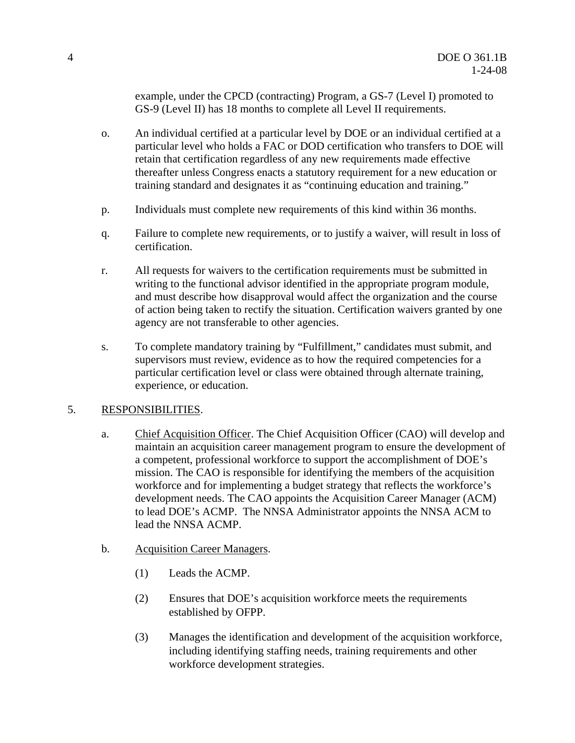example, under the CPCD (contracting) Program, a GS-7 (Level I) promoted to GS-9 (Level II) has 18 months to complete all Level II requirements.

- o. An individual certified at a particular level by DOE or an individual certified at a particular level who holds a FAC or DOD certification who transfers to DOE will retain that certification regardless of any new requirements made effective thereafter unless Congress enacts a statutory requirement for a new education or training standard and designates it as "continuing education and training."
- p. Individuals must complete new requirements of this kind within 36 months.
- q. Failure to complete new requirements, or to justify a waiver, will result in loss of certification.
- r. All requests for waivers to the certification requirements must be submitted in writing to the functional advisor identified in the appropriate program module, and must describe how disapproval would affect the organization and the course of action being taken to rectify the situation. Certification waivers granted by one agency are not transferable to other agencies.
- s. To complete mandatory training by "Fulfillment," candidates must submit, and supervisors must review, evidence as to how the required competencies for a particular certification level or class were obtained through alternate training, experience, or education.

#### 5. RESPONSIBILITIES.

- a. Chief Acquisition Officer. The Chief Acquisition Officer (CAO) will develop and maintain an acquisition career management program to ensure the development of a competent, professional workforce to support the accomplishment of DOE's mission. The CAO is responsible for identifying the members of the acquisition workforce and for implementing a budget strategy that reflects the workforce's development needs. The CAO appoints the Acquisition Career Manager (ACM) to lead DOE's ACMP. The NNSA Administrator appoints the NNSA ACM to lead the NNSA ACMP.
- b. Acquisition Career Managers.
	- (1) Leads the ACMP.
	- (2) Ensures that DOE's acquisition workforce meets the requirements established by OFPP.
	- (3) Manages the identification and development of the acquisition workforce, including identifying staffing needs, training requirements and other workforce development strategies.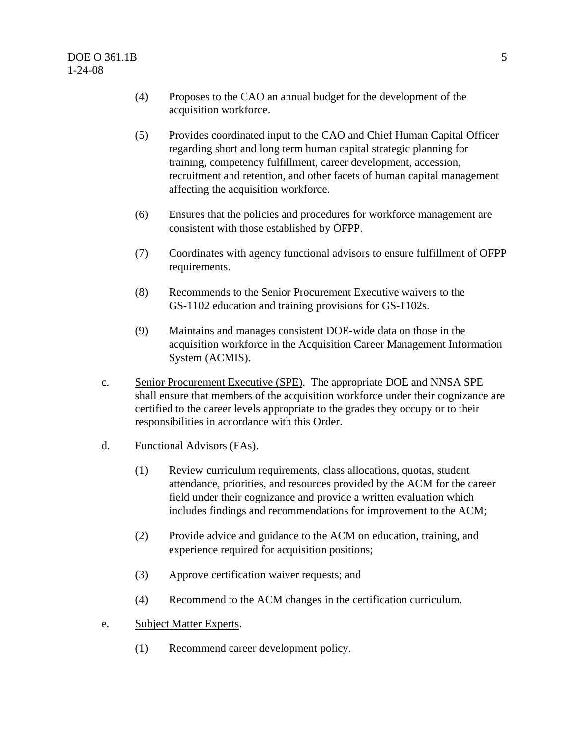- (4) Proposes to the CAO an annual budget for the development of the acquisition workforce.
- (5) Provides coordinated input to the CAO and Chief Human Capital Officer regarding short and long term human capital strategic planning for training, competency fulfillment, career development, accession, recruitment and retention, and other facets of human capital management affecting the acquisition workforce.
- (6) Ensures that the policies and procedures for workforce management are consistent with those established by OFPP.
- (7) Coordinates with agency functional advisors to ensure fulfillment of OFPP requirements.
- (8) Recommends to the Senior Procurement Executive waivers to the GS-1102 education and training provisions for GS-1102s.
- (9) Maintains and manages consistent DOE-wide data on those in the acquisition workforce in the Acquisition Career Management Information System (ACMIS).
- c. Senior Procurement Executive (SPE). The appropriate DOE and NNSA SPE shall ensure that members of the acquisition workforce under their cognizance are certified to the career levels appropriate to the grades they occupy or to their responsibilities in accordance with this Order.
- d. Functional Advisors (FAs).
	- (1) Review curriculum requirements, class allocations, quotas, student attendance, priorities, and resources provided by the ACM for the career field under their cognizance and provide a written evaluation which includes findings and recommendations for improvement to the ACM;
	- (2) Provide advice and guidance to the ACM on education, training, and experience required for acquisition positions;
	- (3) Approve certification waiver requests; and
	- (4) Recommend to the ACM changes in the certification curriculum.
- e. Subject Matter Experts.
	- (1) Recommend career development policy.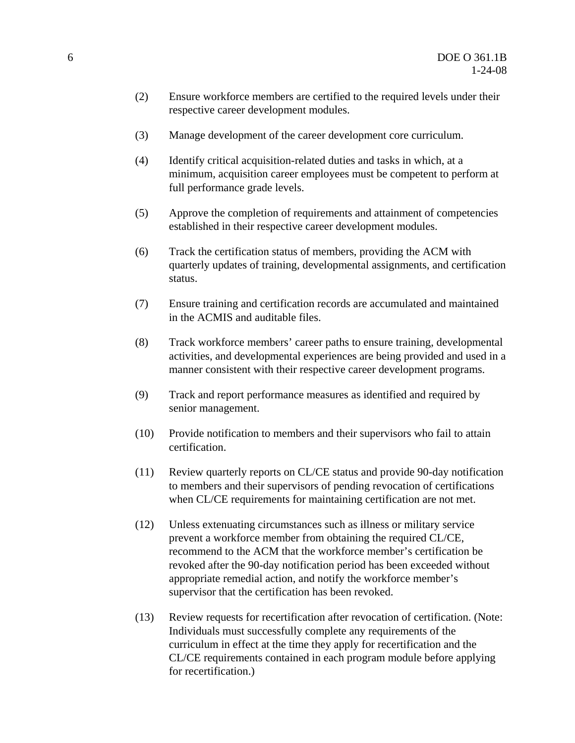- (2) Ensure workforce members are certified to the required levels under their respective career development modules.
- (3) Manage development of the career development core curriculum.
- (4) Identify critical acquisition-related duties and tasks in which, at a minimum, acquisition career employees must be competent to perform at full performance grade levels.
- (5) Approve the completion of requirements and attainment of competencies established in their respective career development modules.
- (6) Track the certification status of members, providing the ACM with quarterly updates of training, developmental assignments, and certification status.
- (7) Ensure training and certification records are accumulated and maintained in the ACMIS and auditable files.
- (8) Track workforce members' career paths to ensure training, developmental activities, and developmental experiences are being provided and used in a manner consistent with their respective career development programs.
- (9) Track and report performance measures as identified and required by senior management.
- (10) Provide notification to members and their supervisors who fail to attain certification.
- (11) Review quarterly reports on CL/CE status and provide 90-day notification to members and their supervisors of pending revocation of certifications when CL/CE requirements for maintaining certification are not met.
- (12) Unless extenuating circumstances such as illness or military service prevent a workforce member from obtaining the required CL/CE, recommend to the ACM that the workforce member's certification be revoked after the 90-day notification period has been exceeded without appropriate remedial action, and notify the workforce member's supervisor that the certification has been revoked.
- (13) Review requests for recertification after revocation of certification. (Note: Individuals must successfully complete any requirements of the curriculum in effect at the time they apply for recertification and the CL/CE requirements contained in each program module before applying for recertification.)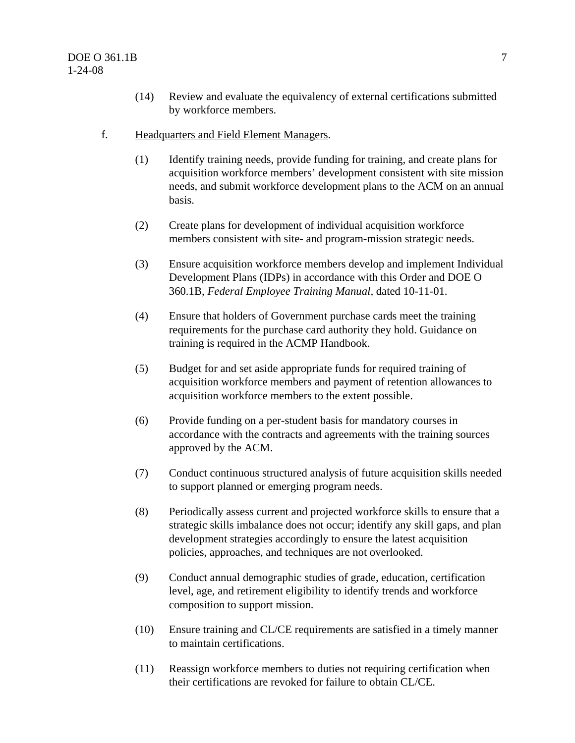- (14) Review and evaluate the equivalency of external certifications submitted by workforce members.
- f. Headquarters and Field Element Managers.
	- (1) Identify training needs, provide funding for training, and create plans for acquisition workforce members' development consistent with site mission needs, and submit workforce development plans to the ACM on an annual basis.
	- (2) Create plans for development of individual acquisition workforce members consistent with site- and program-mission strategic needs.
	- (3) Ensure acquisition workforce members develop and implement Individual Development Plans (IDPs) in accordance with this Order and DOE O 360.1B, *Federal Employee Training Manual,* dated 10-11-01.
	- (4) Ensure that holders of Government purchase cards meet the training requirements for the purchase card authority they hold. Guidance on training is required in the ACMP Handbook.
	- (5) Budget for and set aside appropriate funds for required training of acquisition workforce members and payment of retention allowances to acquisition workforce members to the extent possible.
	- (6) Provide funding on a per-student basis for mandatory courses in accordance with the contracts and agreements with the training sources approved by the ACM.
	- (7) Conduct continuous structured analysis of future acquisition skills needed to support planned or emerging program needs.
	- (8) Periodically assess current and projected workforce skills to ensure that a strategic skills imbalance does not occur; identify any skill gaps, and plan development strategies accordingly to ensure the latest acquisition policies, approaches, and techniques are not overlooked.
	- (9) Conduct annual demographic studies of grade, education, certification level, age, and retirement eligibility to identify trends and workforce composition to support mission.
	- (10) Ensure training and CL/CE requirements are satisfied in a timely manner to maintain certifications.
	- (11) Reassign workforce members to duties not requiring certification when their certifications are revoked for failure to obtain CL/CE.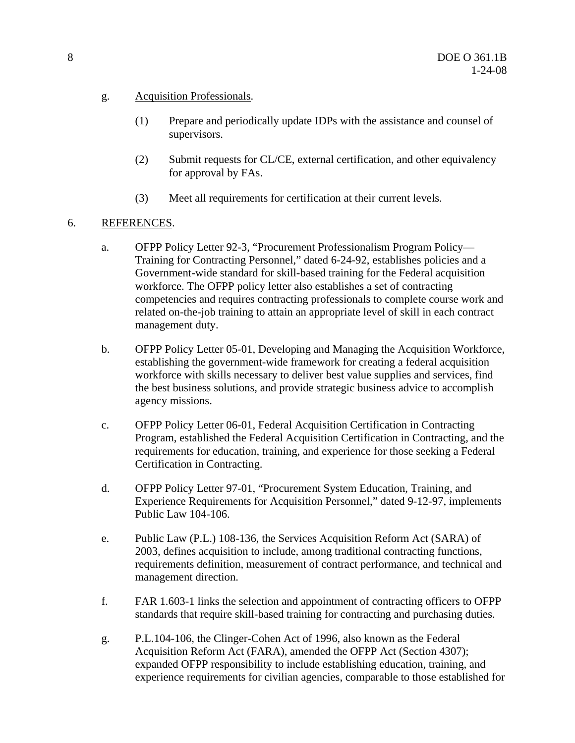- g. Acquisition Professionals.
	- (1) Prepare and periodically update IDPs with the assistance and counsel of supervisors.
	- (2) Submit requests for CL/CE, external certification, and other equivalency for approval by FAs.
	- (3) Meet all requirements for certification at their current levels.
- 6. REFERENCES.
	- a. OFPP Policy Letter 92-3, "Procurement Professionalism Program Policy— Training for Contracting Personnel," dated 6-24-92, establishes policies and a Government-wide standard for skill-based training for the Federal acquisition workforce. The OFPP policy letter also establishes a set of contracting competencies and requires contracting professionals to complete course work and related on-the-job training to attain an appropriate level of skill in each contract management duty.
	- b. OFPP Policy Letter 05-01, Developing and Managing the Acquisition Workforce, establishing the government-wide framework for creating a federal acquisition workforce with skills necessary to deliver best value supplies and services, find the best business solutions, and provide strategic business advice to accomplish agency missions.
	- c. OFPP Policy Letter 06-01, Federal Acquisition Certification in Contracting Program, established the Federal Acquisition Certification in Contracting, and the requirements for education, training, and experience for those seeking a Federal Certification in Contracting.
	- d. OFPP Policy Letter 97-01, "Procurement System Education, Training, and Experience Requirements for Acquisition Personnel," dated 9-12-97, implements Public Law 104-106.
	- e. Public Law (P.L.) 108-136, the Services Acquisition Reform Act (SARA) of 2003, defines acquisition to include, among traditional contracting functions, requirements definition, measurement of contract performance, and technical and management direction.
	- f. FAR 1.603-1 links the selection and appointment of contracting officers to OFPP standards that require skill-based training for contracting and purchasing duties.
	- g. P.L.104-106, the Clinger-Cohen Act of 1996, also known as the Federal Acquisition Reform Act (FARA), amended the OFPP Act (Section 4307); expanded OFPP responsibility to include establishing education, training, and experience requirements for civilian agencies, comparable to those established for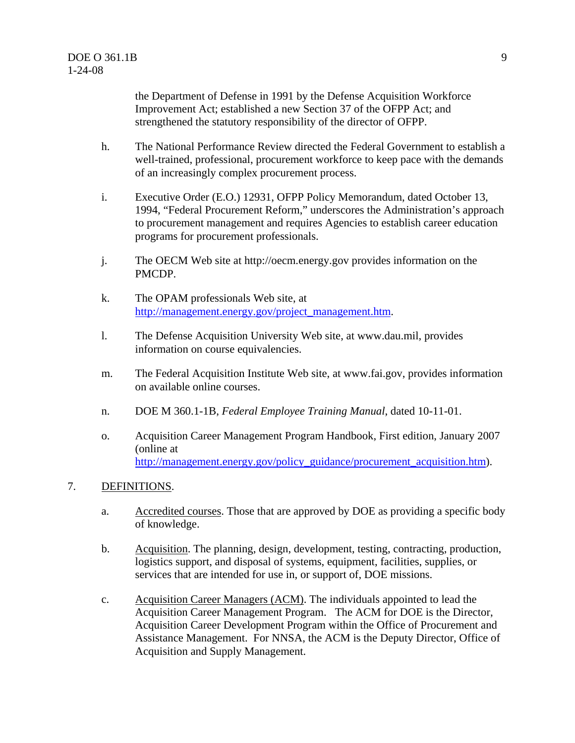the Department of Defense in 1991 by the Defense Acquisition Workforce Improvement Act; established a new Section 37 of the OFPP Act; and strengthened the statutory responsibility of the director of OFPP.

- h. The National Performance Review directed the Federal Government to establish a well-trained, professional, procurement workforce to keep pace with the demands of an increasingly complex procurement process.
- i. Executive Order (E.O.) 12931, OFPP Policy Memorandum, dated October 13, 1994, "Federal Procurement Reform," underscores the Administration's approach to procurement management and requires Agencies to establish career education programs for procurement professionals.
- j. The OECM Web site at http://oecm.energy.gov provides information on the PMCDP.
- k. The OPAM professionals Web site, at http://management.energy.gov/project\_management.htm.
- l. The Defense Acquisition University Web site, at www.dau.mil, provides information on course equivalencies.
- m. The Federal Acquisition Institute Web site, at www.fai.gov, provides information on available online courses.
- n. DOE M 360.1-1B, *Federal Employee Training Manual*, dated 10-11-01.
- o. Acquisition Career Management Program Handbook, First edition, January 2007 (online at http://management.energy.gov/policy\_guidance/procurement\_acquisition.htm).

#### 7. DEFINITIONS.

- a. Accredited courses. Those that are approved by DOE as providing a specific body of knowledge.
- b. Acquisition. The planning, design, development, testing, contracting, production, logistics support, and disposal of systems, equipment, facilities, supplies, or services that are intended for use in, or support of, DOE missions.
- c. Acquisition Career Managers (ACM). The individuals appointed to lead the Acquisition Career Management Program. The ACM for DOE is the Director, Acquisition Career Development Program within the Office of Procurement and Assistance Management. For NNSA, the ACM is the Deputy Director, Office of Acquisition and Supply Management.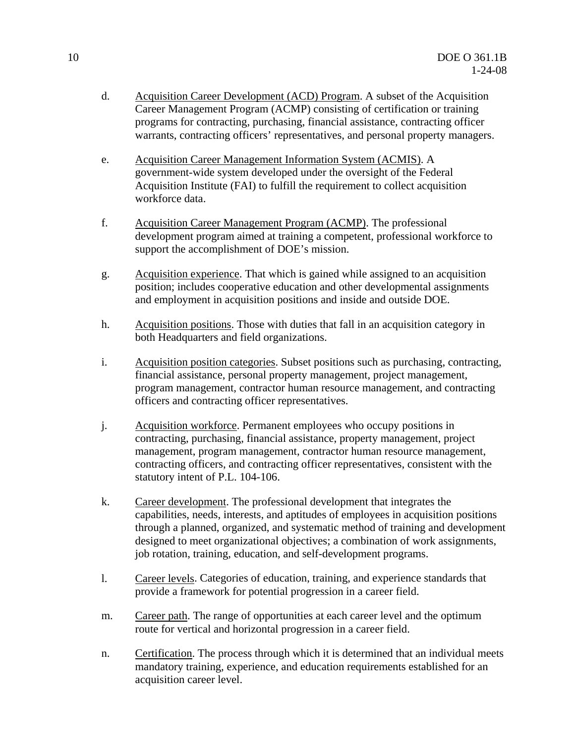- d. Acquisition Career Development (ACD) Program. A subset of the Acquisition Career Management Program (ACMP) consisting of certification or training programs for contracting, purchasing, financial assistance, contracting officer warrants, contracting officers' representatives, and personal property managers.
- e. Acquisition Career Management Information System (ACMIS). A government-wide system developed under the oversight of the Federal Acquisition Institute (FAI) to fulfill the requirement to collect acquisition workforce data.
- f. Acquisition Career Management Program (ACMP). The professional development program aimed at training a competent, professional workforce to support the accomplishment of DOE's mission.
- g. Acquisition experience. That which is gained while assigned to an acquisition position; includes cooperative education and other developmental assignments and employment in acquisition positions and inside and outside DOE.
- h. Acquisition positions. Those with duties that fall in an acquisition category in both Headquarters and field organizations.
- i. Acquisition position categories. Subset positions such as purchasing, contracting, financial assistance, personal property management, project management, program management, contractor human resource management, and contracting officers and contracting officer representatives.
- j. Acquisition workforce. Permanent employees who occupy positions in contracting, purchasing, financial assistance, property management, project management, program management, contractor human resource management, contracting officers, and contracting officer representatives, consistent with the statutory intent of P.L. 104-106.
- k. Career development. The professional development that integrates the capabilities, needs, interests, and aptitudes of employees in acquisition positions through a planned, organized, and systematic method of training and development designed to meet organizational objectives; a combination of work assignments, job rotation, training, education, and self-development programs.
- l. Career levels. Categories of education, training, and experience standards that provide a framework for potential progression in a career field.
- m. Career path. The range of opportunities at each career level and the optimum route for vertical and horizontal progression in a career field.
- n. Certification. The process through which it is determined that an individual meets mandatory training, experience, and education requirements established for an acquisition career level.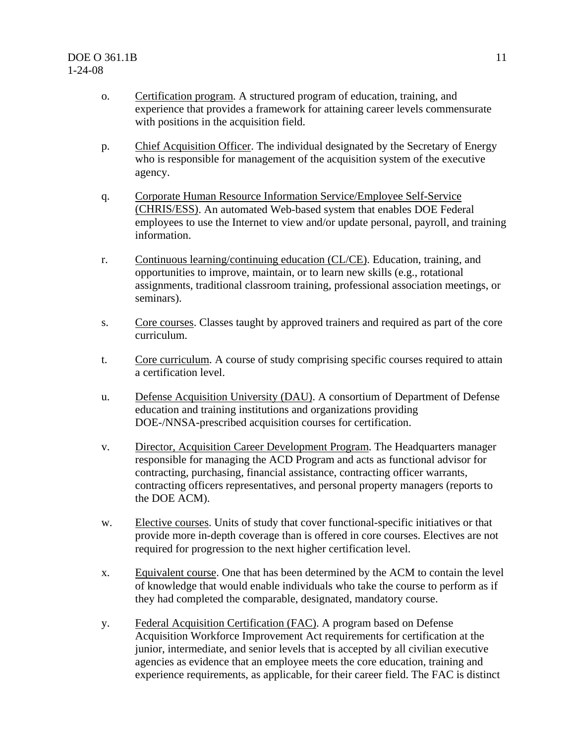- o. Certification program. A structured program of education, training, and experience that provides a framework for attaining career levels commensurate with positions in the acquisition field.
- p. Chief Acquisition Officer. The individual designated by the Secretary of Energy who is responsible for management of the acquisition system of the executive agency.
- q. Corporate Human Resource Information Service/Employee Self-Service (CHRIS/ESS). An automated Web-based system that enables DOE Federal employees to use the Internet to view and/or update personal, payroll, and training information.
- r. Continuous learning/continuing education (CL/CE). Education, training, and opportunities to improve, maintain, or to learn new skills (e.g., rotational assignments, traditional classroom training, professional association meetings, or seminars).
- s. Core courses. Classes taught by approved trainers and required as part of the core curriculum.
- t. Core curriculum. A course of study comprising specific courses required to attain a certification level.
- u. Defense Acquisition University (DAU). A consortium of Department of Defense education and training institutions and organizations providing DOE-/NNSA-prescribed acquisition courses for certification.
- v. Director, Acquisition Career Development Program. The Headquarters manager responsible for managing the ACD Program and acts as functional advisor for contracting, purchasing, financial assistance, contracting officer warrants, contracting officers representatives, and personal property managers (reports to the DOE ACM).
- w. Elective courses. Units of study that cover functional-specific initiatives or that provide more in-depth coverage than is offered in core courses. Electives are not required for progression to the next higher certification level.
- x. Equivalent course. One that has been determined by the ACM to contain the level of knowledge that would enable individuals who take the course to perform as if they had completed the comparable, designated, mandatory course.
- y. Federal Acquisition Certification (FAC). A program based on Defense Acquisition Workforce Improvement Act requirements for certification at the junior, intermediate, and senior levels that is accepted by all civilian executive agencies as evidence that an employee meets the core education, training and experience requirements, as applicable, for their career field. The FAC is distinct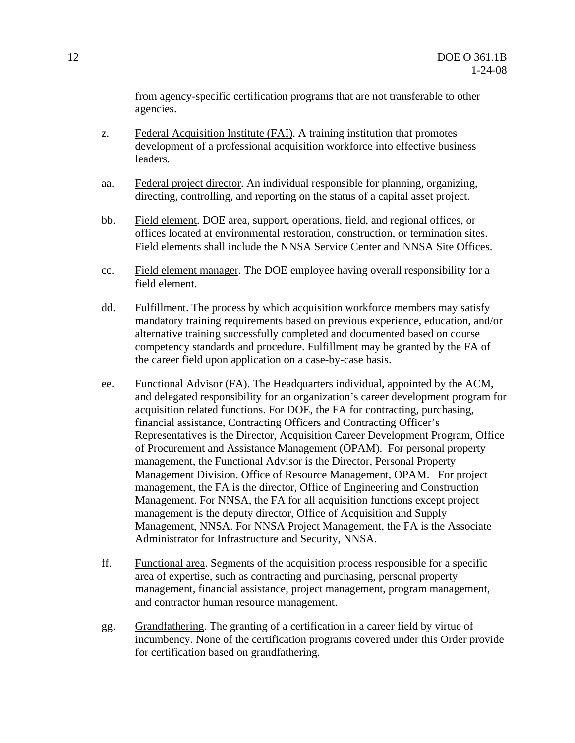from agency-specific certification programs that are not transferable to other agencies.

- z. Federal Acquisition Institute (FAI). A training institution that promotes development of a professional acquisition workforce into effective business leaders.
- aa. Federal project director. An individual responsible for planning, organizing, directing, controlling, and reporting on the status of a capital asset project.
- bb. Field element. DOE area, support, operations, field, and regional offices, or offices located at environmental restoration, construction, or termination sites. Field elements shall include the NNSA Service Center and NNSA Site Offices.
- cc. Field element manager. The DOE employee having overall responsibility for a field element.
- dd. Fulfillment. The process by which acquisition workforce members may satisfy mandatory training requirements based on previous experience, education, and/or alternative training successfully completed and documented based on course competency standards and procedure. Fulfillment may be granted by the FA of the career field upon application on a case-by-case basis.
- ee. Functional Advisor (FA). The Headquarters individual, appointed by the ACM, and delegated responsibility for an organization's career development program for acquisition related functions. For DOE, the FA for contracting, purchasing, financial assistance, Contracting Officers and Contracting Officer's Representatives is the Director, Acquisition Career Development Program, Office of Procurement and Assistance Management (OPAM). For personal property management, the Functional Advisor is the Director, Personal Property Management Division, Office of Resource Management, OPAM. For project management, the FA is the director, Office of Engineering and Construction Management. For NNSA, the FA for all acquisition functions except project management is the deputy director, Office of Acquisition and Supply Management, NNSA. For NNSA Project Management, the FA is the Associate Administrator for Infrastructure and Security, NNSA.
- ff. Functional area. Segments of the acquisition process responsible for a specific area of expertise, such as contracting and purchasing, personal property management, financial assistance, project management, program management, and contractor human resource management.
- gg. Grandfathering. The granting of a certification in a career field by virtue of incumbency. None of the certification programs covered under this Order provide for certification based on grandfathering.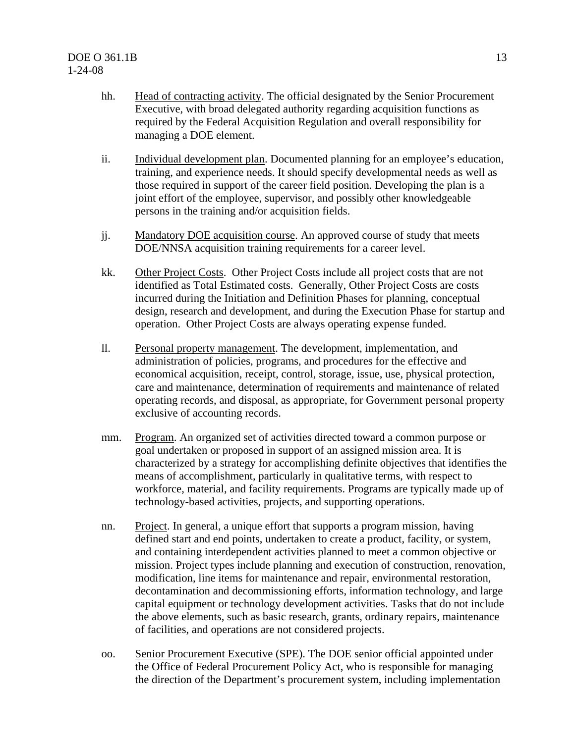- hh. Head of contracting activity. The official designated by the Senior Procurement Executive, with broad delegated authority regarding acquisition functions as required by the Federal Acquisition Regulation and overall responsibility for managing a DOE element.
- ii. Individual development plan. Documented planning for an employee's education, training, and experience needs. It should specify developmental needs as well as those required in support of the career field position. Developing the plan is a joint effort of the employee, supervisor, and possibly other knowledgeable persons in the training and/or acquisition fields.
- jj. Mandatory DOE acquisition course. An approved course of study that meets DOE/NNSA acquisition training requirements for a career level.
- kk. Other Project Costs. Other Project Costs include all project costs that are not identified as Total Estimated costs. Generally, Other Project Costs are costs incurred during the Initiation and Definition Phases for planning, conceptual design, research and development, and during the Execution Phase for startup and operation. Other Project Costs are always operating expense funded.
- ll. Personal property management. The development, implementation, and administration of policies, programs, and procedures for the effective and economical acquisition, receipt, control, storage, issue, use, physical protection, care and maintenance, determination of requirements and maintenance of related operating records, and disposal, as appropriate, for Government personal property exclusive of accounting records.
- mm. Program. An organized set of activities directed toward a common purpose or goal undertaken or proposed in support of an assigned mission area. It is characterized by a strategy for accomplishing definite objectives that identifies the means of accomplishment, particularly in qualitative terms, with respect to workforce, material, and facility requirements. Programs are typically made up of technology-based activities, projects, and supporting operations.
- nn. Project. In general, a unique effort that supports a program mission, having defined start and end points, undertaken to create a product, facility, or system, and containing interdependent activities planned to meet a common objective or mission. Project types include planning and execution of construction, renovation, modification, line items for maintenance and repair, environmental restoration, decontamination and decommissioning efforts, information technology, and large capital equipment or technology development activities. Tasks that do not include the above elements, such as basic research, grants, ordinary repairs, maintenance of facilities, and operations are not considered projects.
- oo. Senior Procurement Executive (SPE). The DOE senior official appointed under the Office of Federal Procurement Policy Act, who is responsible for managing the direction of the Department's procurement system, including implementation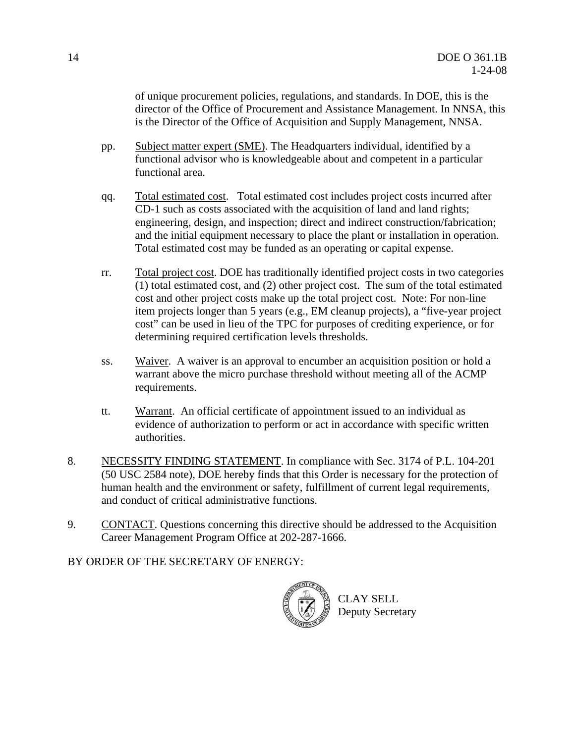of unique procurement policies, regulations, and standards. In DOE, this is the director of the Office of Procurement and Assistance Management. In NNSA, this is the Director of the Office of Acquisition and Supply Management, NNSA.

- pp. Subject matter expert (SME). The Headquarters individual, identified by a functional advisor who is knowledgeable about and competent in a particular functional area.
- qq. Total estimated cost. Total estimated cost includes project costs incurred after CD-1 such as costs associated with the acquisition of land and land rights; engineering, design, and inspection; direct and indirect construction/fabrication; and the initial equipment necessary to place the plant or installation in operation. Total estimated cost may be funded as an operating or capital expense.
- rr. Total project cost. DOE has traditionally identified project costs in two categories (1) total estimated cost, and (2) other project cost. The sum of the total estimated cost and other project costs make up the total project cost. Note: For non-line item projects longer than 5 years (e.g., EM cleanup projects), a "five-year project cost" can be used in lieu of the TPC for purposes of crediting experience, or for determining required certification levels thresholds.
- ss. Waiver. A waiver is an approval to encumber an acquisition position or hold a warrant above the micro purchase threshold without meeting all of the ACMP requirements.
- tt. Warrant. An official certificate of appointment issued to an individual as evidence of authorization to perform or act in accordance with specific written authorities.
- 8. NECESSITY FINDING STATEMENT. In compliance with Sec. 3174 of P.L. 104-201 (50 USC 2584 note), DOE hereby finds that this Order is necessary for the protection of human health and the environment or safety, fulfillment of current legal requirements, and conduct of critical administrative functions.
- 9. CONTACT. Questions concerning this directive should be addressed to the Acquisition Career Management Program Office at 202-287-1666.

BY ORDER OF THE SECRETARY OF ENERGY:

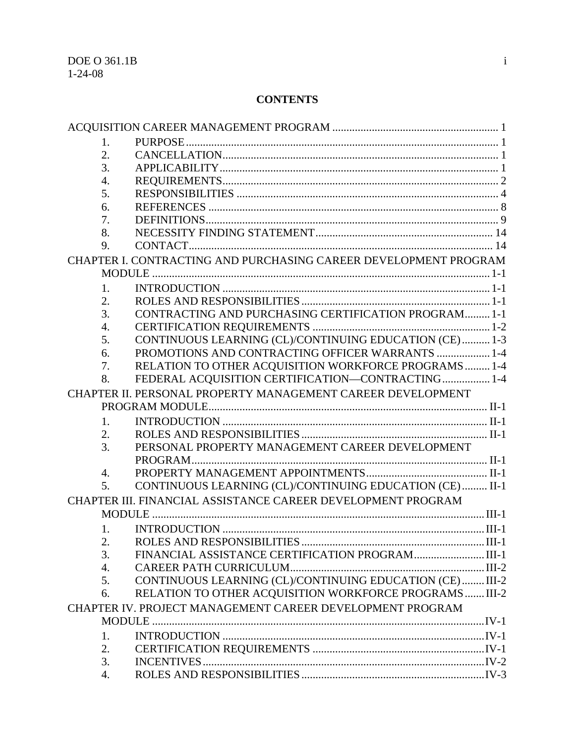### **CONTENTS**

| 1. |                                                                  |  |  |  |
|----|------------------------------------------------------------------|--|--|--|
| 2. |                                                                  |  |  |  |
| 3. |                                                                  |  |  |  |
| 4. |                                                                  |  |  |  |
| 5. |                                                                  |  |  |  |
| 6. |                                                                  |  |  |  |
| 7. |                                                                  |  |  |  |
| 8. |                                                                  |  |  |  |
| 9. |                                                                  |  |  |  |
|    | CHAPTER I. CONTRACTING AND PURCHASING CAREER DEVELOPMENT PROGRAM |  |  |  |
|    |                                                                  |  |  |  |
| 1. |                                                                  |  |  |  |
| 2. |                                                                  |  |  |  |
| 3. | CONTRACTING AND PURCHASING CERTIFICATION PROGRAM 1-1             |  |  |  |
| 4. |                                                                  |  |  |  |
| 5. | CONTINUOUS LEARNING (CL)/CONTINUING EDUCATION (CE)  1-3          |  |  |  |
| 6. | PROMOTIONS AND CONTRACTING OFFICER WARRANTS  1-4                 |  |  |  |
| 7. | RELATION TO OTHER ACQUISITION WORKFORCE PROGRAMS  1-4            |  |  |  |
| 8. | FEDERAL ACQUISITION CERTIFICATION-CONTRACTING 1-4                |  |  |  |
|    | CHAPTER II. PERSONAL PROPERTY MANAGEMENT CAREER DEVELOPMENT      |  |  |  |
|    |                                                                  |  |  |  |
| 1. |                                                                  |  |  |  |
| 2. |                                                                  |  |  |  |
| 3. | PERSONAL PROPERTY MANAGEMENT CAREER DEVELOPMENT                  |  |  |  |
|    |                                                                  |  |  |  |
| 4. |                                                                  |  |  |  |
| 5. | CONTINUOUS LEARNING (CL)/CONTINUING EDUCATION (CE)  II-1         |  |  |  |
|    |                                                                  |  |  |  |
|    | CHAPTER III. FINANCIAL ASSISTANCE CAREER DEVELOPMENT PROGRAM     |  |  |  |
|    |                                                                  |  |  |  |
| 1. |                                                                  |  |  |  |
| 2. |                                                                  |  |  |  |
| 3. |                                                                  |  |  |  |
| 4. |                                                                  |  |  |  |
| 5. | CONTINUOUS LEARNING (CL)/CONTINUING EDUCATION (CE)  III-2        |  |  |  |
| 6. | RELATION TO OTHER ACQUISITION WORKFORCE PROGRAMS  III-2          |  |  |  |
|    | CHAPTER IV. PROJECT MANAGEMENT CAREER DEVELOPMENT PROGRAM        |  |  |  |
|    |                                                                  |  |  |  |
| 1. |                                                                  |  |  |  |
| 2. |                                                                  |  |  |  |
| 3. |                                                                  |  |  |  |
| 4. |                                                                  |  |  |  |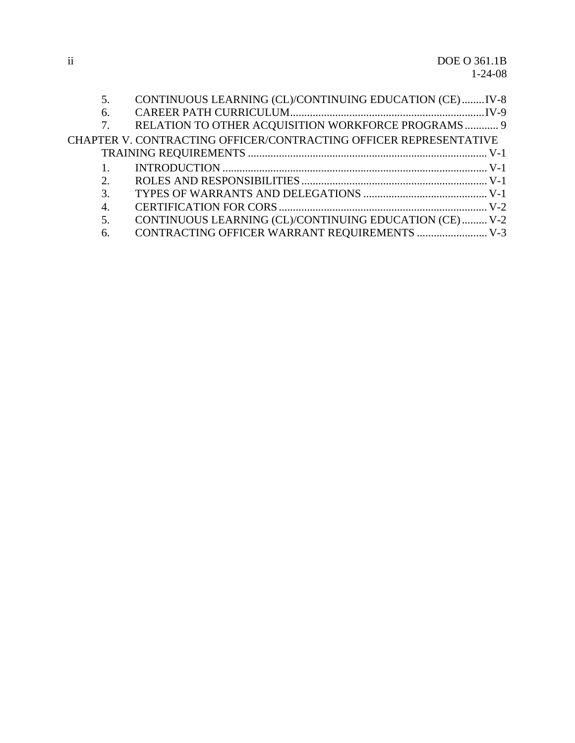| 5.               | CONTINUOUS LEARNING (CL)/CONTINUING EDUCATION (CE)IV-8            |  |
|------------------|-------------------------------------------------------------------|--|
| 6.               |                                                                   |  |
| 7.               | RELATION TO OTHER ACQUISITION WORKFORCE PROGRAMS 9                |  |
|                  | CHAPTER V. CONTRACTING OFFICER/CONTRACTING OFFICER REPRESENTATIVE |  |
|                  |                                                                   |  |
|                  |                                                                   |  |
| 2.               |                                                                   |  |
| 3.               |                                                                   |  |
| $\overline{4}$ . |                                                                   |  |
| 5.               | CONTINUOUS LEARNING (CL)/CONTINUING EDUCATION (CE)  V-2           |  |
| 6.               | CONTRACTING OFFICER WARRANT REQUIREMENTS  V-3                     |  |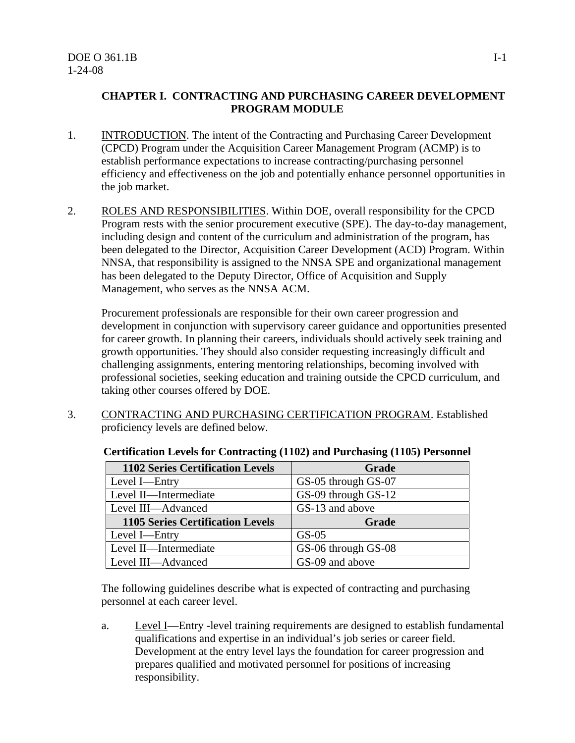#### **CHAPTER I. CONTRACTING AND PURCHASING CAREER DEVELOPMENT PROGRAM MODULE**

- 1. INTRODUCTION. The intent of the Contracting and Purchasing Career Development (CPCD) Program under the Acquisition Career Management Program (ACMP) is to establish performance expectations to increase contracting/purchasing personnel efficiency and effectiveness on the job and potentially enhance personnel opportunities in the job market.
- 2. ROLES AND RESPONSIBILITIES. Within DOE, overall responsibility for the CPCD Program rests with the senior procurement executive (SPE). The day-to-day management, including design and content of the curriculum and administration of the program, has been delegated to the Director, Acquisition Career Development (ACD) Program. Within NNSA, that responsibility is assigned to the NNSA SPE and organizational management has been delegated to the Deputy Director, Office of Acquisition and Supply Management, who serves as the NNSA ACM.

Procurement professionals are responsible for their own career progression and development in conjunction with supervisory career guidance and opportunities presented for career growth. In planning their careers, individuals should actively seek training and growth opportunities. They should also consider requesting increasingly difficult and challenging assignments, entering mentoring relationships, becoming involved with professional societies, seeking education and training outside the CPCD curriculum, and taking other courses offered by DOE.

3. CONTRACTING AND PURCHASING CERTIFICATION PROGRAM. Established proficiency levels are defined below.

| <b>1102 Series Certification Levels</b> | Grade               |
|-----------------------------------------|---------------------|
| Level I—Entry                           | GS-05 through GS-07 |
| Level II-Intermediate                   | GS-09 through GS-12 |
| Level III-Advanced                      | GS-13 and above     |
| <b>1105 Series Certification Levels</b> | Grade               |
| Level I-Entry                           |                     |
|                                         | $GS-05$             |
| Level II-Intermediate                   | GS-06 through GS-08 |

**Certification Levels for Contracting (1102) and Purchasing (1105) Personnel** 

The following guidelines describe what is expected of contracting and purchasing personnel at each career level.

a. Level I—Entry -level training requirements are designed to establish fundamental qualifications and expertise in an individual's job series or career field. Development at the entry level lays the foundation for career progression and prepares qualified and motivated personnel for positions of increasing responsibility.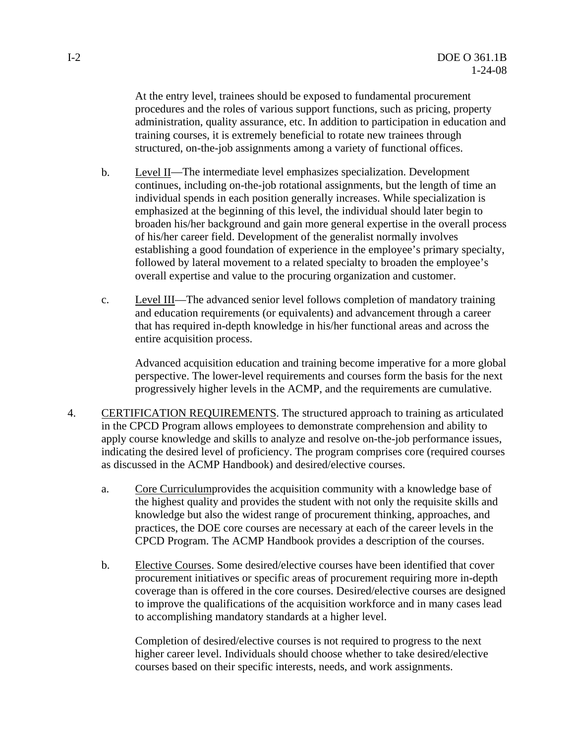At the entry level, trainees should be exposed to fundamental procurement procedures and the roles of various support functions, such as pricing, property administration, quality assurance, etc. In addition to participation in education and training courses, it is extremely beneficial to rotate new trainees through structured, on-the-job assignments among a variety of functional offices.

- b. Level II—The intermediate level emphasizes specialization. Development continues, including on-the-job rotational assignments, but the length of time an individual spends in each position generally increases. While specialization is emphasized at the beginning of this level, the individual should later begin to broaden his/her background and gain more general expertise in the overall process of his/her career field. Development of the generalist normally involves establishing a good foundation of experience in the employee's primary specialty, followed by lateral movement to a related specialty to broaden the employee's overall expertise and value to the procuring organization and customer.
- c. Level III—The advanced senior level follows completion of mandatory training and education requirements (or equivalents) and advancement through a career that has required in-depth knowledge in his/her functional areas and across the entire acquisition process.

Advanced acquisition education and training become imperative for a more global perspective. The lower-level requirements and courses form the basis for the next progressively higher levels in the ACMP, and the requirements are cumulative.

- 4. CERTIFICATION REQUIREMENTS. The structured approach to training as articulated in the CPCD Program allows employees to demonstrate comprehension and ability to apply course knowledge and skills to analyze and resolve on-the-job performance issues, indicating the desired level of proficiency. The program comprises core (required courses as discussed in the ACMP Handbook) and desired/elective courses.
	- a. Core Curriculumprovides the acquisition community with a knowledge base of the highest quality and provides the student with not only the requisite skills and knowledge but also the widest range of procurement thinking, approaches, and practices, the DOE core courses are necessary at each of the career levels in the CPCD Program. The ACMP Handbook provides a description of the courses.
	- b. Elective Courses. Some desired/elective courses have been identified that cover procurement initiatives or specific areas of procurement requiring more in-depth coverage than is offered in the core courses. Desired/elective courses are designed to improve the qualifications of the acquisition workforce and in many cases lead to accomplishing mandatory standards at a higher level.

Completion of desired/elective courses is not required to progress to the next higher career level. Individuals should choose whether to take desired/elective courses based on their specific interests, needs, and work assignments.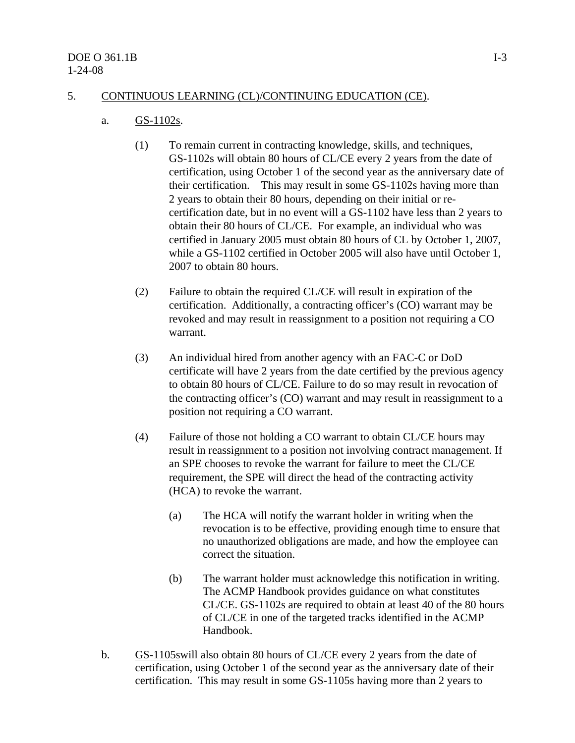#### 5. CONTINUOUS LEARNING (CL)/CONTINUING EDUCATION (CE).

#### a. GS-1102s.

- (1) To remain current in contracting knowledge, skills, and techniques, GS-1102s will obtain 80 hours of CL/CE every 2 years from the date of certification, using October 1 of the second year as the anniversary date of their certification. This may result in some GS-1102s having more than 2 years to obtain their 80 hours, depending on their initial or recertification date, but in no event will a GS-1102 have less than 2 years to obtain their 80 hours of CL/CE. For example, an individual who was certified in January 2005 must obtain 80 hours of CL by October 1, 2007, while a GS-1102 certified in October 2005 will also have until October 1, 2007 to obtain 80 hours.
- (2) Failure to obtain the required CL/CE will result in expiration of the certification. Additionally, a contracting officer's (CO) warrant may be revoked and may result in reassignment to a position not requiring a CO warrant.
- (3) An individual hired from another agency with an FAC-C or DoD certificate will have 2 years from the date certified by the previous agency to obtain 80 hours of CL/CE. Failure to do so may result in revocation of the contracting officer's (CO) warrant and may result in reassignment to a position not requiring a CO warrant.
- (4) Failure of those not holding a CO warrant to obtain CL/CE hours may result in reassignment to a position not involving contract management. If an SPE chooses to revoke the warrant for failure to meet the CL/CE requirement, the SPE will direct the head of the contracting activity (HCA) to revoke the warrant.
	- (a) The HCA will notify the warrant holder in writing when the revocation is to be effective, providing enough time to ensure that no unauthorized obligations are made, and how the employee can correct the situation.
	- (b) The warrant holder must acknowledge this notification in writing. The ACMP Handbook provides guidance on what constitutes CL/CE. GS-1102s are required to obtain at least 40 of the 80 hours of CL/CE in one of the targeted tracks identified in the ACMP Handbook.
- b. GS-1105swill also obtain 80 hours of CL/CE every 2 years from the date of certification, using October 1 of the second year as the anniversary date of their certification. This may result in some GS-1105s having more than 2 years to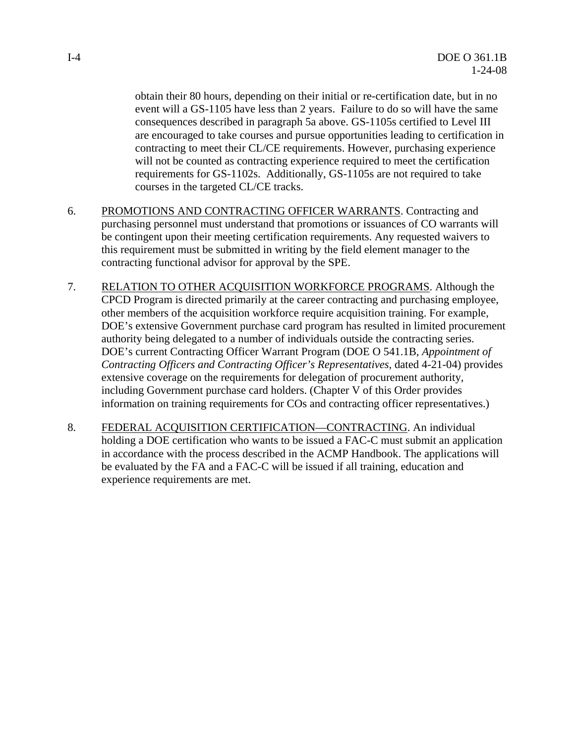obtain their 80 hours, depending on their initial or re-certification date, but in no event will a GS-1105 have less than 2 years. Failure to do so will have the same consequences described in paragraph 5a above. GS-1105s certified to Level III are encouraged to take courses and pursue opportunities leading to certification in contracting to meet their CL/CE requirements. However, purchasing experience will not be counted as contracting experience required to meet the certification requirements for GS-1102s. Additionally, GS-1105s are not required to take courses in the targeted CL/CE tracks.

- 6. PROMOTIONS AND CONTRACTING OFFICER WARRANTS. Contracting and purchasing personnel must understand that promotions or issuances of CO warrants will be contingent upon their meeting certification requirements. Any requested waivers to this requirement must be submitted in writing by the field element manager to the contracting functional advisor for approval by the SPE.
- 7. RELATION TO OTHER ACQUISITION WORKFORCE PROGRAMS. Although the CPCD Program is directed primarily at the career contracting and purchasing employee, other members of the acquisition workforce require acquisition training. For example, DOE's extensive Government purchase card program has resulted in limited procurement authority being delegated to a number of individuals outside the contracting series. DOE's current Contracting Officer Warrant Program (DOE O 541.1B, *Appointment of Contracting Officers and Contracting Officer's Representatives,* dated 4-21-04) provides extensive coverage on the requirements for delegation of procurement authority, including Government purchase card holders. (Chapter V of this Order provides information on training requirements for COs and contracting officer representatives.)
- 8. FEDERAL ACQUISITION CERTIFICATION—CONTRACTING. An individual holding a DOE certification who wants to be issued a FAC-C must submit an application in accordance with the process described in the ACMP Handbook. The applications will be evaluated by the FA and a FAC-C will be issued if all training, education and experience requirements are met.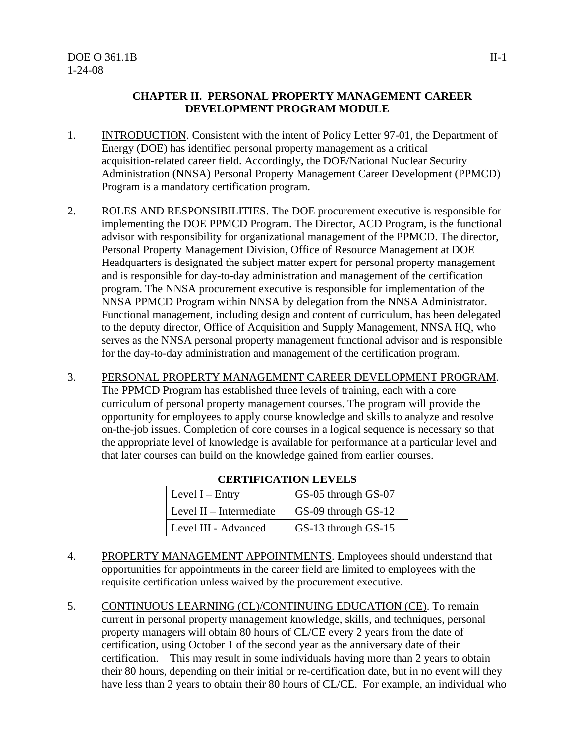#### **CHAPTER II. PERSONAL PROPERTY MANAGEMENT CAREER DEVELOPMENT PROGRAM MODULE**

- 1. INTRODUCTION. Consistent with the intent of Policy Letter 97-01, the Department of Energy (DOE) has identified personal property management as a critical acquisition-related career field. Accordingly, the DOE/National Nuclear Security Administration (NNSA) Personal Property Management Career Development (PPMCD) Program is a mandatory certification program.
- 2. ROLES AND RESPONSIBILITIES. The DOE procurement executive is responsible for implementing the DOE PPMCD Program. The Director, ACD Program, is the functional advisor with responsibility for organizational management of the PPMCD. The director, Personal Property Management Division, Office of Resource Management at DOE Headquarters is designated the subject matter expert for personal property management and is responsible for day-to-day administration and management of the certification program. The NNSA procurement executive is responsible for implementation of the NNSA PPMCD Program within NNSA by delegation from the NNSA Administrator. Functional management, including design and content of curriculum, has been delegated to the deputy director, Office of Acquisition and Supply Management, NNSA HQ, who serves as the NNSA personal property management functional advisor and is responsible for the day-to-day administration and management of the certification program.
- 3. PERSONAL PROPERTY MANAGEMENT CAREER DEVELOPMENT PROGRAM. The PPMCD Program has established three levels of training, each with a core curriculum of personal property management courses. The program will provide the opportunity for employees to apply course knowledge and skills to analyze and resolve on-the-job issues. Completion of core courses in a logical sequence is necessary so that the appropriate level of knowledge is available for performance at a particular level and that later courses can build on the knowledge gained from earlier courses.

| Level $I$ – Entry         | GS-05 through GS-07 |  |  |
|---------------------------|---------------------|--|--|
| Level $II$ – Intermediate | GS-09 through GS-12 |  |  |
| Level III - Advanced      | GS-13 through GS-15 |  |  |

- **CERTIFICATION LEVELS**
- 4. PROPERTY MANAGEMENT APPOINTMENTS. Employees should understand that opportunities for appointments in the career field are limited to employees with the requisite certification unless waived by the procurement executive.
- 5. CONTINUOUS LEARNING (CL)/CONTINUING EDUCATION (CE). To remain current in personal property management knowledge, skills, and techniques, personal property managers will obtain 80 hours of CL/CE every 2 years from the date of certification, using October 1 of the second year as the anniversary date of their certification. This may result in some individuals having more than 2 years to obtain their 80 hours, depending on their initial or re-certification date, but in no event will they have less than 2 years to obtain their 80 hours of CL/CE. For example, an individual who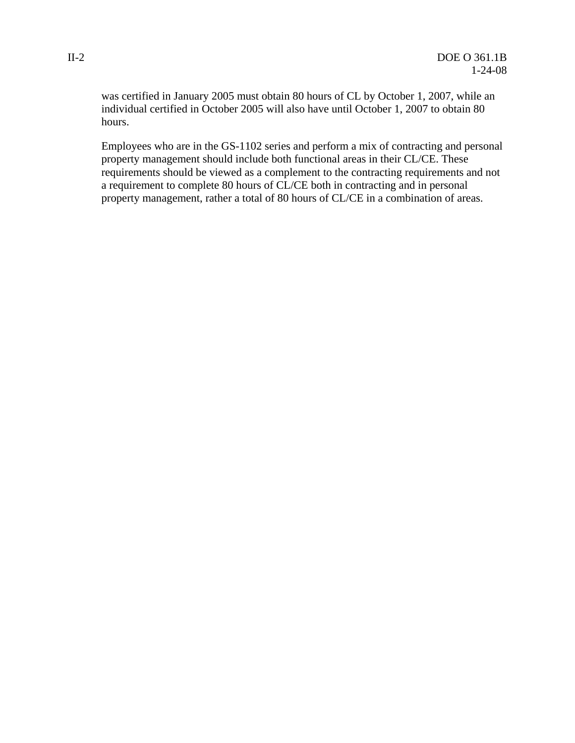was certified in January 2005 must obtain 80 hours of CL by October 1, 2007, while an individual certified in October 2005 will also have until October 1, 2007 to obtain 80 hours.

Employees who are in the GS-1102 series and perform a mix of contracting and personal property management should include both functional areas in their CL/CE. These requirements should be viewed as a complement to the contracting requirements and not a requirement to complete 80 hours of CL/CE both in contracting and in personal property management, rather a total of 80 hours of CL/CE in a combination of areas.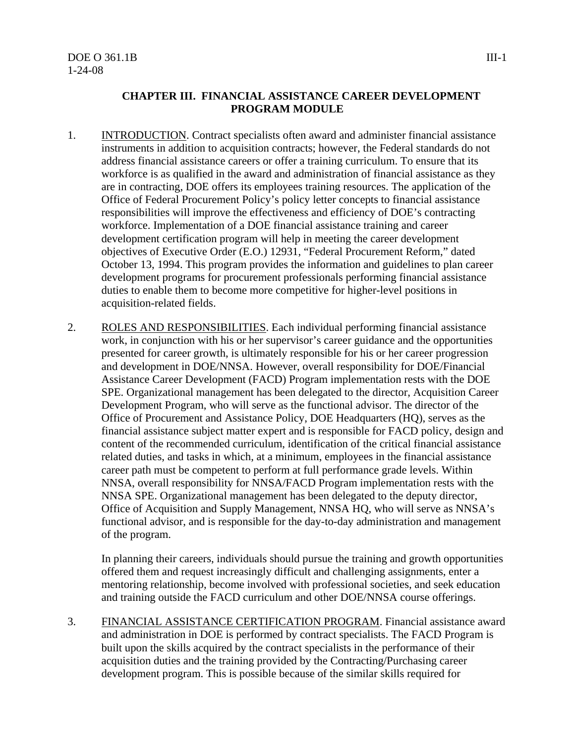#### **CHAPTER III. FINANCIAL ASSISTANCE CAREER DEVELOPMENT PROGRAM MODULE**

- 1. INTRODUCTION. Contract specialists often award and administer financial assistance instruments in addition to acquisition contracts; however, the Federal standards do not address financial assistance careers or offer a training curriculum. To ensure that its workforce is as qualified in the award and administration of financial assistance as they are in contracting, DOE offers its employees training resources. The application of the Office of Federal Procurement Policy's policy letter concepts to financial assistance responsibilities will improve the effectiveness and efficiency of DOE's contracting workforce. Implementation of a DOE financial assistance training and career development certification program will help in meeting the career development objectives of Executive Order (E.O.) 12931, "Federal Procurement Reform," dated October 13, 1994. This program provides the information and guidelines to plan career development programs for procurement professionals performing financial assistance duties to enable them to become more competitive for higher-level positions in acquisition-related fields.
- 2. ROLES AND RESPONSIBILITIES. Each individual performing financial assistance work, in conjunction with his or her supervisor's career guidance and the opportunities presented for career growth, is ultimately responsible for his or her career progression and development in DOE/NNSA. However, overall responsibility for DOE/Financial Assistance Career Development (FACD) Program implementation rests with the DOE SPE. Organizational management has been delegated to the director, Acquisition Career Development Program, who will serve as the functional advisor. The director of the Office of Procurement and Assistance Policy, DOE Headquarters (HQ), serves as the financial assistance subject matter expert and is responsible for FACD policy, design and content of the recommended curriculum, identification of the critical financial assistance related duties, and tasks in which, at a minimum, employees in the financial assistance career path must be competent to perform at full performance grade levels. Within NNSA, overall responsibility for NNSA/FACD Program implementation rests with the NNSA SPE. Organizational management has been delegated to the deputy director, Office of Acquisition and Supply Management, NNSA HQ, who will serve as NNSA's functional advisor, and is responsible for the day-to-day administration and management of the program.

In planning their careers, individuals should pursue the training and growth opportunities offered them and request increasingly difficult and challenging assignments, enter a mentoring relationship, become involved with professional societies, and seek education and training outside the FACD curriculum and other DOE/NNSA course offerings.

3. FINANCIAL ASSISTANCE CERTIFICATION PROGRAM. Financial assistance award and administration in DOE is performed by contract specialists. The FACD Program is built upon the skills acquired by the contract specialists in the performance of their acquisition duties and the training provided by the Contracting/Purchasing career development program. This is possible because of the similar skills required for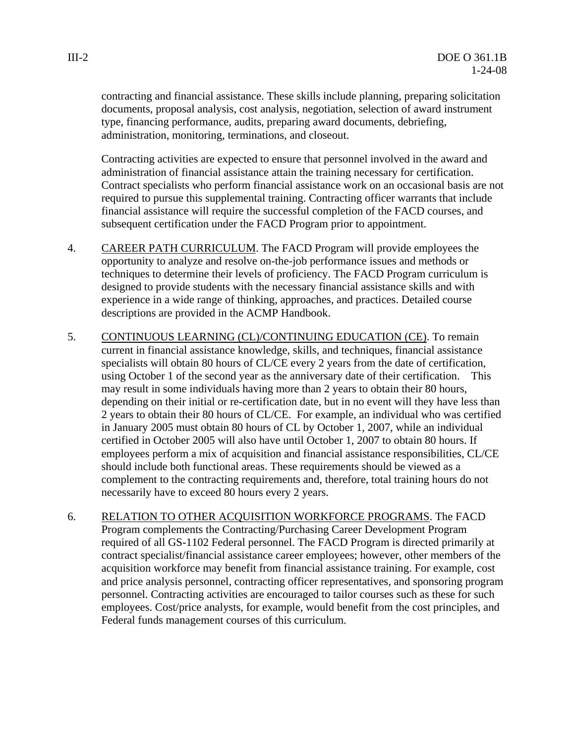contracting and financial assistance. These skills include planning, preparing solicitation documents, proposal analysis, cost analysis, negotiation, selection of award instrument type, financing performance, audits, preparing award documents, debriefing, administration, monitoring, terminations, and closeout.

Contracting activities are expected to ensure that personnel involved in the award and administration of financial assistance attain the training necessary for certification. Contract specialists who perform financial assistance work on an occasional basis are not required to pursue this supplemental training. Contracting officer warrants that include financial assistance will require the successful completion of the FACD courses, and subsequent certification under the FACD Program prior to appointment.

- 4. CAREER PATH CURRICULUM. The FACD Program will provide employees the opportunity to analyze and resolve on-the-job performance issues and methods or techniques to determine their levels of proficiency. The FACD Program curriculum is designed to provide students with the necessary financial assistance skills and with experience in a wide range of thinking, approaches, and practices. Detailed course descriptions are provided in the ACMP Handbook.
- 5. CONTINUOUS LEARNING (CL)/CONTINUING EDUCATION (CE). To remain current in financial assistance knowledge, skills, and techniques, financial assistance specialists will obtain 80 hours of CL/CE every 2 years from the date of certification, using October 1 of the second year as the anniversary date of their certification. This may result in some individuals having more than 2 years to obtain their 80 hours, depending on their initial or re-certification date, but in no event will they have less than 2 years to obtain their 80 hours of CL/CE. For example, an individual who was certified in January 2005 must obtain 80 hours of CL by October 1, 2007, while an individual certified in October 2005 will also have until October 1, 2007 to obtain 80 hours. If employees perform a mix of acquisition and financial assistance responsibilities, CL/CE should include both functional areas. These requirements should be viewed as a complement to the contracting requirements and, therefore, total training hours do not necessarily have to exceed 80 hours every 2 years.
- 6. RELATION TO OTHER ACQUISITION WORKFORCE PROGRAMS. The FACD Program complements the Contracting/Purchasing Career Development Program required of all GS-1102 Federal personnel. The FACD Program is directed primarily at contract specialist/financial assistance career employees; however, other members of the acquisition workforce may benefit from financial assistance training. For example, cost and price analysis personnel, contracting officer representatives, and sponsoring program personnel. Contracting activities are encouraged to tailor courses such as these for such employees. Cost/price analysts, for example, would benefit from the cost principles, and Federal funds management courses of this curriculum.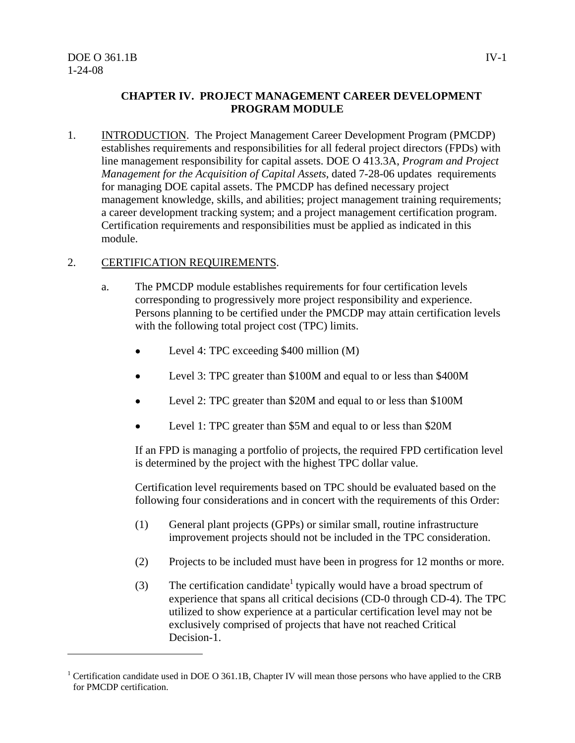#### **CHAPTER IV. PROJECT MANAGEMENT CAREER DEVELOPMENT PROGRAM MODULE**

1. INTRODUCTION. The Project Management Career Development Program (PMCDP) establishes requirements and responsibilities for all federal project directors (FPDs) with line management responsibility for capital assets. DOE O 413.3A, *Program and Project Management for the Acquisition of Capital Assets*, dated 7-28-06 updates requirements for managing DOE capital assets. The PMCDP has defined necessary project management knowledge, skills, and abilities; project management training requirements; a career development tracking system; and a project management certification program. Certification requirements and responsibilities must be applied as indicated in this module.

#### 2. CERTIFICATION REQUIREMENTS.

- a. The PMCDP module establishes requirements for four certification levels corresponding to progressively more project responsibility and experience. Persons planning to be certified under the PMCDP may attain certification levels with the following total project cost (TPC) limits.
	- Level 4: TPC exceeding \$400 million (M)
	- Level 3: TPC greater than \$100M and equal to or less than \$400M
	- Level 2: TPC greater than \$20M and equal to or less than \$100M
	- Level 1: TPC greater than \$5M and equal to or less than \$20M

If an FPD is managing a portfolio of projects, the required FPD certification level is determined by the project with the highest TPC dollar value.

Certification level requirements based on TPC should be evaluated based on the following four considerations and in concert with the requirements of this Order:

- (1) General plant projects (GPPs) or similar small, routine infrastructure improvement projects should not be included in the TPC consideration.
- (2) Projects to be included must have been in progress for 12 months or more.
- (3) The certification candidate<sup>1</sup> typically would have a broad spectrum of experience that spans all critical decisions (CD-0 through CD-4). The TPC utilized to show experience at a particular certification level may not be exclusively comprised of projects that have not reached Critical Decision-1.

<sup>&</sup>lt;sup>1</sup> Certification candidate used in DOE O 361.1B, Chapter IV will mean those persons who have applied to the CRB for PMCDP certification.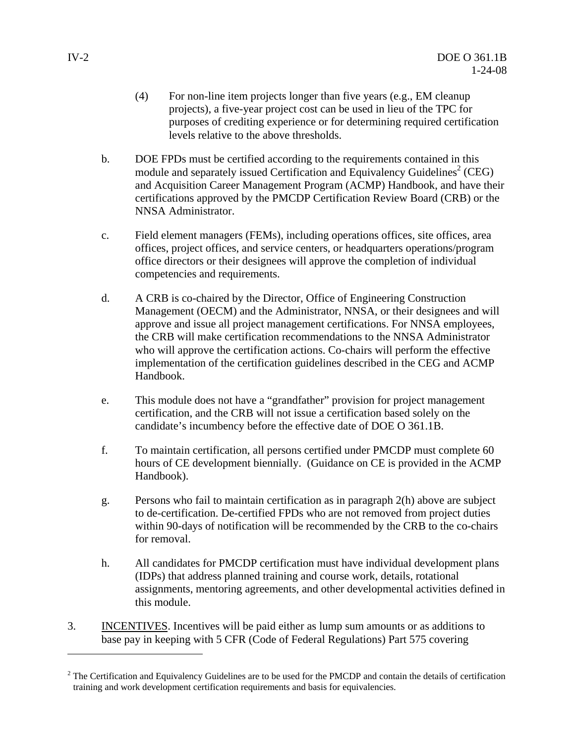- (4) For non-line item projects longer than five years (e.g., EM cleanup projects), a five-year project cost can be used in lieu of the TPC for purposes of crediting experience or for determining required certification levels relative to the above thresholds.
- b. DOE FPDs must be certified according to the requirements contained in this module and separately issued Certification and Equivalency Guidelines<sup>2</sup> (CEG) and Acquisition Career Management Program (ACMP) Handbook, and have their certifications approved by the PMCDP Certification Review Board (CRB) or the NNSA Administrator.
- c. Field element managers (FEMs), including operations offices, site offices, area offices, project offices, and service centers, or headquarters operations/program office directors or their designees will approve the completion of individual competencies and requirements.
- d. A CRB is co-chaired by the Director, Office of Engineering Construction Management (OECM) and the Administrator, NNSA, or their designees and will approve and issue all project management certifications. For NNSA employees, the CRB will make certification recommendations to the NNSA Administrator who will approve the certification actions. Co-chairs will perform the effective implementation of the certification guidelines described in the CEG and ACMP Handbook.
- e. This module does not have a "grandfather" provision for project management certification, and the CRB will not issue a certification based solely on the candidate's incumbency before the effective date of DOE O 361.1B.
- f. To maintain certification, all persons certified under PMCDP must complete 60 hours of CE development biennially. (Guidance on CE is provided in the ACMP Handbook).
- g. Persons who fail to maintain certification as in paragraph 2(h) above are subject to de-certification. De-certified FPDs who are not removed from project duties within 90-days of notification will be recommended by the CRB to the co-chairs for removal.
- h. All candidates for PMCDP certification must have individual development plans (IDPs) that address planned training and course work, details, rotational assignments, mentoring agreements, and other developmental activities defined in this module.
- 3. INCENTIVES. Incentives will be paid either as lump sum amounts or as additions to base pay in keeping with 5 CFR (Code of Federal Regulations) Part 575 covering

 $2^2$  The Certification and Equivalency Guidelines are to be used for the PMCDP and contain the details of certification training and work development certification requirements and basis for equivalencies.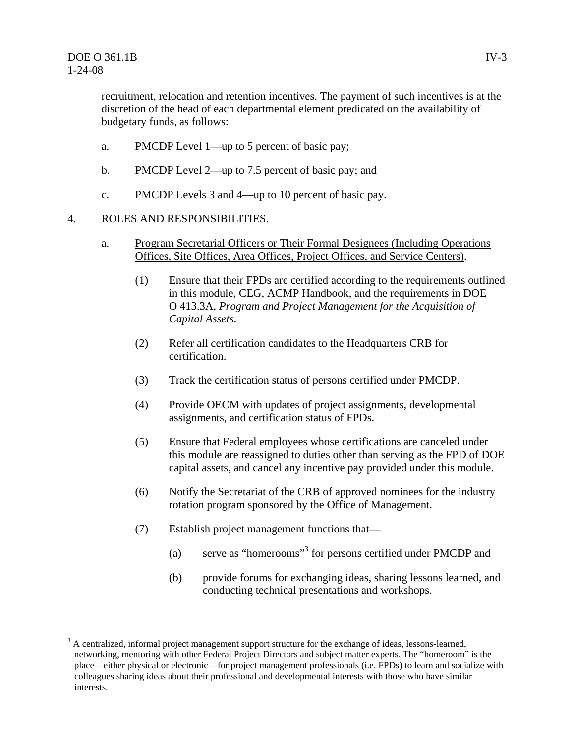recruitment, relocation and retention incentives. The payment of such incentives is at the discretion of the head of each departmental element predicated on the availability of budgetary funds, as follows:

- a. PMCDP Level 1—up to 5 percent of basic pay;
- b. PMCDP Level 2—up to 7.5 percent of basic pay; and
- c. PMCDP Levels 3 and 4—up to 10 percent of basic pay.

#### 4. ROLES AND RESPONSIBILITIES.

- a. Program Secretarial Officers or Their Formal Designees (Including Operations Offices, Site Offices, Area Offices, Project Offices, and Service Centers).
	- (1) Ensure that their FPDs are certified according to the requirements outlined in this module, CEG, ACMP Handbook, and the requirements in DOE O 413.3A, *Program and Project Management for the Acquisition of Capital Assets*.
	- (2) Refer all certification candidates to the Headquarters CRB for certification.
	- (3) Track the certification status of persons certified under PMCDP.
	- (4) Provide OECM with updates of project assignments, developmental assignments, and certification status of FPDs.
	- (5) Ensure that Federal employees whose certifications are canceled under this module are reassigned to duties other than serving as the FPD of DOE capital assets, and cancel any incentive pay provided under this module.
	- (6) Notify the Secretariat of the CRB of approved nominees for the industry rotation program sponsored by the Office of Management.
	- (7) Establish project management functions that—
		- (a) serve as "homerooms"<sup>3</sup> for persons certified under PMCDP and
		- (b) provide forums for exchanging ideas, sharing lessons learned, and conducting technical presentations and workshops.

 $3$  A centralized, informal project management support structure for the exchange of ideas, lessons-learned, networking, mentoring with other Federal Project Directors and subject matter experts. The "homeroom" is the place—either physical or electronic—for project management professionals (i.e. FPDs) to learn and socialize with colleagues sharing ideas about their professional and developmental interests with those who have similar interests.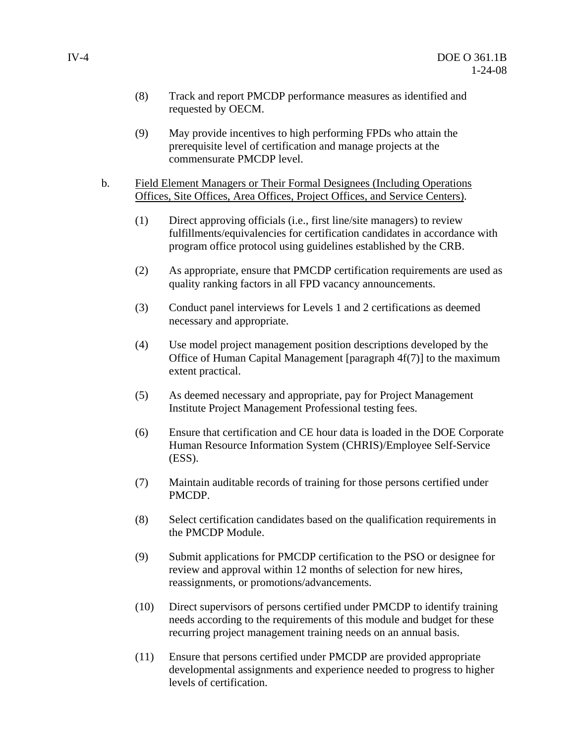- (8) Track and report PMCDP performance measures as identified and requested by OECM.
- (9) May provide incentives to high performing FPDs who attain the prerequisite level of certification and manage projects at the commensurate PMCDP level.
- b. Field Element Managers or Their Formal Designees (Including Operations Offices, Site Offices, Area Offices, Project Offices, and Service Centers).
	- (1) Direct approving officials (i.e., first line/site managers) to review fulfillments/equivalencies for certification candidates in accordance with program office protocol using guidelines established by the CRB.
	- (2) As appropriate, ensure that PMCDP certification requirements are used as quality ranking factors in all FPD vacancy announcements.
	- (3) Conduct panel interviews for Levels 1 and 2 certifications as deemed necessary and appropriate.
	- (4) Use model project management position descriptions developed by the Office of Human Capital Management [paragraph 4f(7)] to the maximum extent practical.
	- (5) As deemed necessary and appropriate, pay for Project Management Institute Project Management Professional testing fees.
	- (6) Ensure that certification and CE hour data is loaded in the DOE Corporate Human Resource Information System (CHRIS)/Employee Self-Service (ESS).
	- (7) Maintain auditable records of training for those persons certified under PMCDP.
	- (8) Select certification candidates based on the qualification requirements in the PMCDP Module.
	- (9) Submit applications for PMCDP certification to the PSO or designee for review and approval within 12 months of selection for new hires, reassignments, or promotions/advancements.
	- (10) Direct supervisors of persons certified under PMCDP to identify training needs according to the requirements of this module and budget for these recurring project management training needs on an annual basis.
	- (11) Ensure that persons certified under PMCDP are provided appropriate developmental assignments and experience needed to progress to higher levels of certification.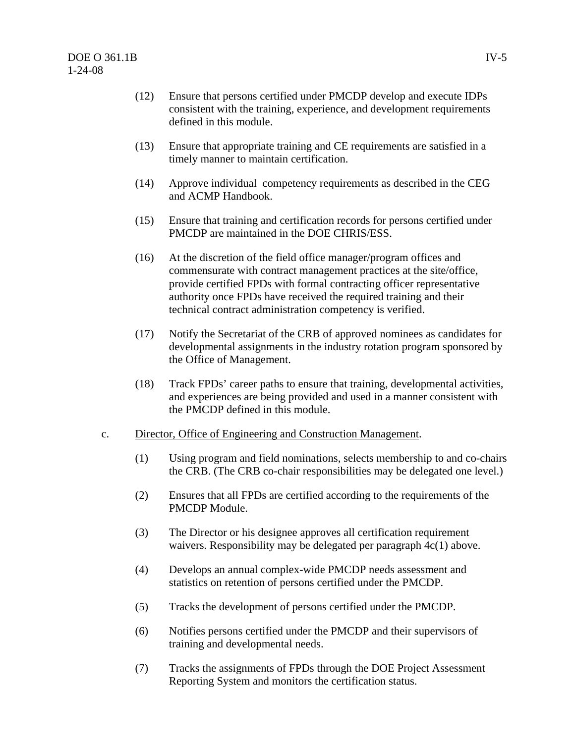- (12) Ensure that persons certified under PMCDP develop and execute IDPs consistent with the training, experience, and development requirements defined in this module.
- (13) Ensure that appropriate training and CE requirements are satisfied in a timely manner to maintain certification.
- (14) Approve individual competency requirements as described in the CEG and ACMP Handbook.
- (15) Ensure that training and certification records for persons certified under PMCDP are maintained in the DOE CHRIS/ESS.
- (16) At the discretion of the field office manager/program offices and commensurate with contract management practices at the site/office, provide certified FPDs with formal contracting officer representative authority once FPDs have received the required training and their technical contract administration competency is verified.
- (17) Notify the Secretariat of the CRB of approved nominees as candidates for developmental assignments in the industry rotation program sponsored by the Office of Management.
- (18) Track FPDs' career paths to ensure that training, developmental activities, and experiences are being provided and used in a manner consistent with the PMCDP defined in this module.
- c. Director, Office of Engineering and Construction Management.
	- (1) Using program and field nominations, selects membership to and co-chairs the CRB. (The CRB co-chair responsibilities may be delegated one level.)
	- (2) Ensures that all FPDs are certified according to the requirements of the PMCDP Module.
	- (3) The Director or his designee approves all certification requirement waivers. Responsibility may be delegated per paragraph  $4c(1)$  above.
	- (4) Develops an annual complex-wide PMCDP needs assessment and statistics on retention of persons certified under the PMCDP.
	- (5) Tracks the development of persons certified under the PMCDP.
	- (6) Notifies persons certified under the PMCDP and their supervisors of training and developmental needs.
	- (7) Tracks the assignments of FPDs through the DOE Project Assessment Reporting System and monitors the certification status.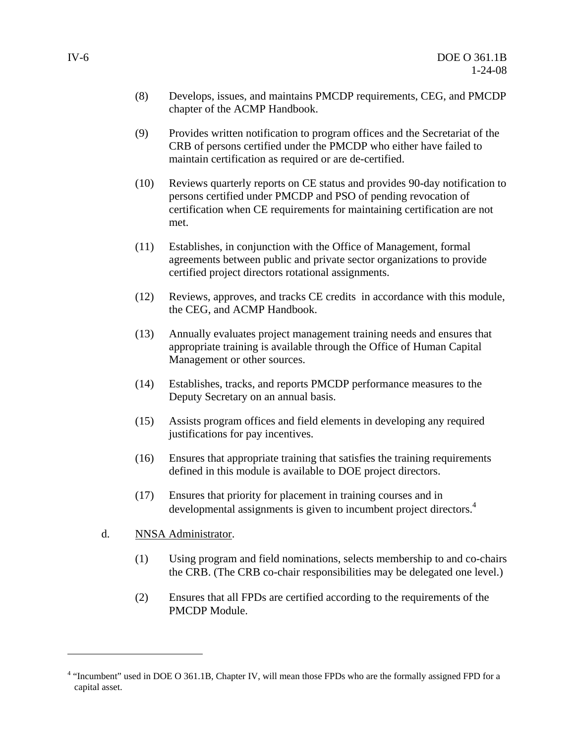- (8) Develops, issues, and maintains PMCDP requirements, CEG, and PMCDP chapter of the ACMP Handbook.
- (9) Provides written notification to program offices and the Secretariat of the CRB of persons certified under the PMCDP who either have failed to maintain certification as required or are de-certified.
- (10) Reviews quarterly reports on CE status and provides 90-day notification to persons certified under PMCDP and PSO of pending revocation of certification when CE requirements for maintaining certification are not met.
- (11) Establishes, in conjunction with the Office of Management, formal agreements between public and private sector organizations to provide certified project directors rotational assignments.
- (12) Reviews, approves, and tracks CE credits in accordance with this module, the CEG, and ACMP Handbook.
- (13) Annually evaluates project management training needs and ensures that appropriate training is available through the Office of Human Capital Management or other sources.
- (14) Establishes, tracks, and reports PMCDP performance measures to the Deputy Secretary on an annual basis.
- (15) Assists program offices and field elements in developing any required justifications for pay incentives.
- (16) Ensures that appropriate training that satisfies the training requirements defined in this module is available to DOE project directors.
- (17) Ensures that priority for placement in training courses and in developmental assignments is given to incumbent project directors.<sup>4</sup>
- d. NNSA Administrator.

- (1) Using program and field nominations, selects membership to and co-chairs the CRB. (The CRB co-chair responsibilities may be delegated one level.)
- (2) Ensures that all FPDs are certified according to the requirements of the PMCDP Module.

<sup>&</sup>lt;sup>4</sup> "Incumbent" used in DOE O 361.1B, Chapter IV, will mean those FPDs who are the formally assigned FPD for a capital asset.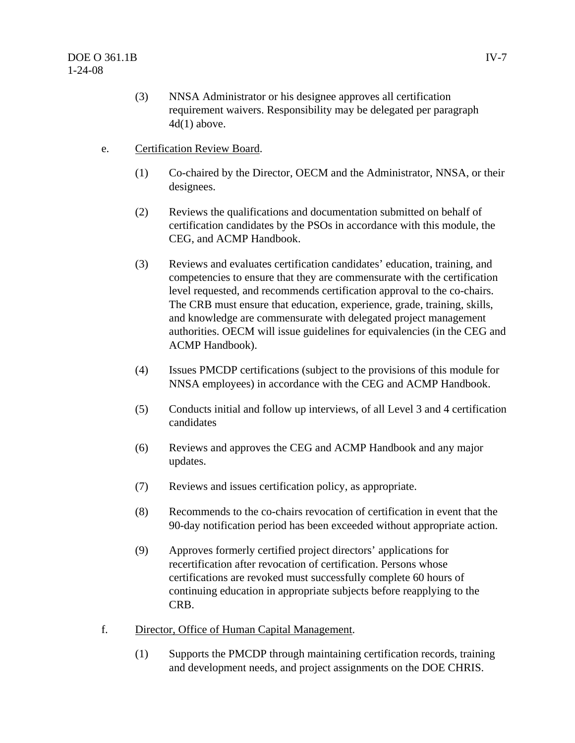- (3) NNSA Administrator or his designee approves all certification requirement waivers. Responsibility may be delegated per paragraph  $4d(1)$  above.
- e. Certification Review Board.
	- (1) Co-chaired by the Director, OECM and the Administrator, NNSA, or their designees.
	- (2) Reviews the qualifications and documentation submitted on behalf of certification candidates by the PSOs in accordance with this module, the CEG, and ACMP Handbook.
	- (3) Reviews and evaluates certification candidates' education, training, and competencies to ensure that they are commensurate with the certification level requested, and recommends certification approval to the co-chairs. The CRB must ensure that education, experience, grade, training, skills, and knowledge are commensurate with delegated project management authorities. OECM will issue guidelines for equivalencies (in the CEG and ACMP Handbook).
	- (4) Issues PMCDP certifications (subject to the provisions of this module for NNSA employees) in accordance with the CEG and ACMP Handbook.
	- (5) Conducts initial and follow up interviews, of all Level 3 and 4 certification candidates
	- (6) Reviews and approves the CEG and ACMP Handbook and any major updates.
	- (7) Reviews and issues certification policy, as appropriate.
	- (8) Recommends to the co-chairs revocation of certification in event that the 90-day notification period has been exceeded without appropriate action.
	- (9) Approves formerly certified project directors' applications for recertification after revocation of certification. Persons whose certifications are revoked must successfully complete 60 hours of continuing education in appropriate subjects before reapplying to the CRB.
- f. Director, Office of Human Capital Management.
	- (1) Supports the PMCDP through maintaining certification records, training and development needs, and project assignments on the DOE CHRIS.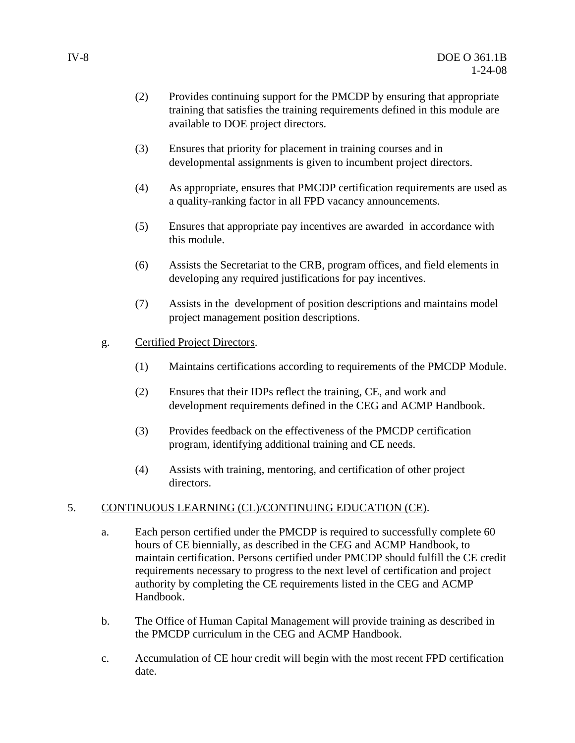- (2) Provides continuing support for the PMCDP by ensuring that appropriate training that satisfies the training requirements defined in this module are available to DOE project directors.
- (3) Ensures that priority for placement in training courses and in developmental assignments is given to incumbent project directors.
- (4) As appropriate, ensures that PMCDP certification requirements are used as a quality-ranking factor in all FPD vacancy announcements.
- (5) Ensures that appropriate pay incentives are awarded in accordance with this module.
- (6) Assists the Secretariat to the CRB, program offices, and field elements in developing any required justifications for pay incentives.
- (7) Assists in the development of position descriptions and maintains model project management position descriptions.
- g. Certified Project Directors.
	- (1) Maintains certifications according to requirements of the PMCDP Module.
	- (2) Ensures that their IDPs reflect the training, CE, and work and development requirements defined in the CEG and ACMP Handbook.
	- (3) Provides feedback on the effectiveness of the PMCDP certification program, identifying additional training and CE needs.
	- (4) Assists with training, mentoring, and certification of other project directors.

#### 5. CONTINUOUS LEARNING (CL)/CONTINUING EDUCATION (CE).

- a. Each person certified under the PMCDP is required to successfully complete 60 hours of CE biennially, as described in the CEG and ACMP Handbook, to maintain certification. Persons certified under PMCDP should fulfill the CE credit requirements necessary to progress to the next level of certification and project authority by completing the CE requirements listed in the CEG and ACMP Handbook.
- b. The Office of Human Capital Management will provide training as described in the PMCDP curriculum in the CEG and ACMP Handbook.
- c. Accumulation of CE hour credit will begin with the most recent FPD certification date.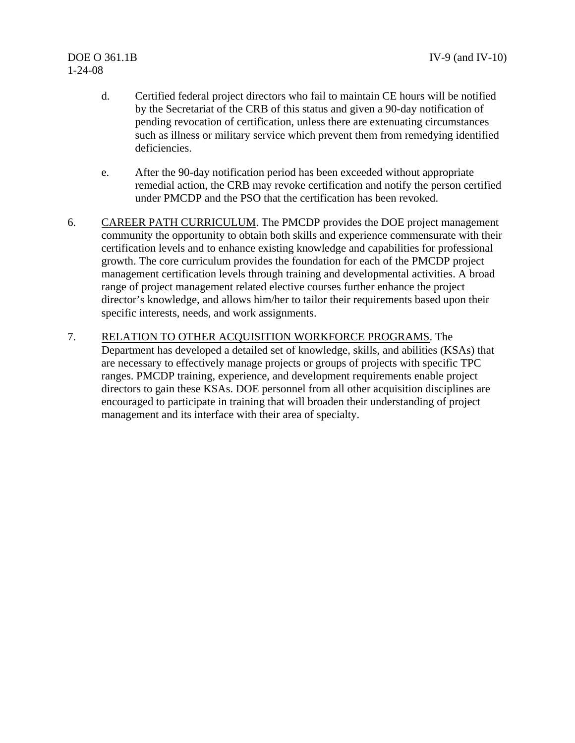# 1-24-08

- d. Certified federal project directors who fail to maintain CE hours will be notified by the Secretariat of the CRB of this status and given a 90-day notification of pending revocation of certification, unless there are extenuating circumstances such as illness or military service which prevent them from remedying identified deficiencies.
- e. After the 90-day notification period has been exceeded without appropriate remedial action, the CRB may revoke certification and notify the person certified under PMCDP and the PSO that the certification has been revoked.
- 6. CAREER PATH CURRICULUM. The PMCDP provides the DOE project management community the opportunity to obtain both skills and experience commensurate with their certification levels and to enhance existing knowledge and capabilities for professional growth. The core curriculum provides the foundation for each of the PMCDP project management certification levels through training and developmental activities. A broad range of project management related elective courses further enhance the project director's knowledge, and allows him/her to tailor their requirements based upon their specific interests, needs, and work assignments.
- 7. RELATION TO OTHER ACQUISITION WORKFORCE PROGRAMS. The Department has developed a detailed set of knowledge, skills, and abilities (KSAs) that are necessary to effectively manage projects or groups of projects with specific TPC ranges. PMCDP training, experience, and development requirements enable project directors to gain these KSAs. DOE personnel from all other acquisition disciplines are encouraged to participate in training that will broaden their understanding of project management and its interface with their area of specialty.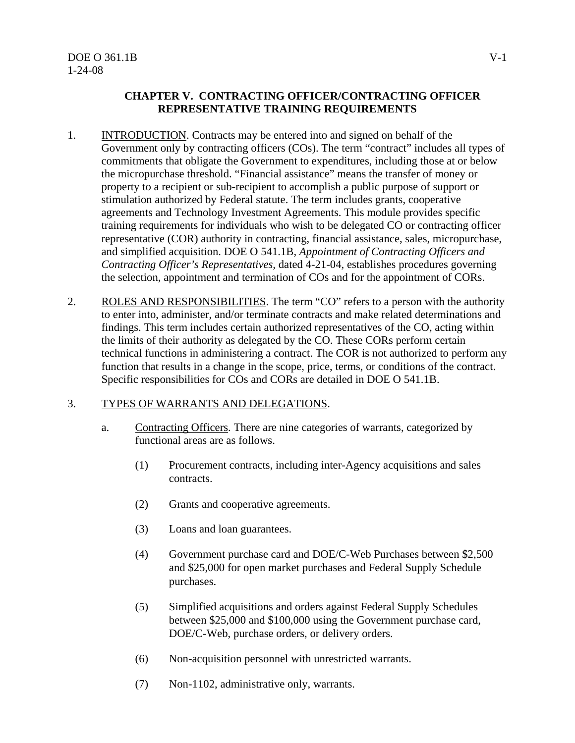#### **CHAPTER V. CONTRACTING OFFICER/CONTRACTING OFFICER REPRESENTATIVE TRAINING REQUIREMENTS**

- 1. INTRODUCTION. Contracts may be entered into and signed on behalf of the Government only by contracting officers (COs). The term "contract" includes all types of commitments that obligate the Government to expenditures, including those at or below the micropurchase threshold. "Financial assistance" means the transfer of money or property to a recipient or sub-recipient to accomplish a public purpose of support or stimulation authorized by Federal statute. The term includes grants, cooperative agreements and Technology Investment Agreements. This module provides specific training requirements for individuals who wish to be delegated CO or contracting officer representative (COR) authority in contracting, financial assistance, sales, micropurchase, and simplified acquisition. DOE O 541.1B, *Appointment of Contracting Officers and Contracting Officer's Representatives,* dated 4-21-04, establishes procedures governing the selection, appointment and termination of COs and for the appointment of CORs.
- 2. ROLES AND RESPONSIBILITIES. The term "CO" refers to a person with the authority to enter into, administer, and/or terminate contracts and make related determinations and findings. This term includes certain authorized representatives of the CO, acting within the limits of their authority as delegated by the CO. These CORs perform certain technical functions in administering a contract. The COR is not authorized to perform any function that results in a change in the scope, price, terms, or conditions of the contract. Specific responsibilities for COs and CORs are detailed in DOE O 541.1B.

#### 3. TYPES OF WARRANTS AND DELEGATIONS.

- a. Contracting Officers. There are nine categories of warrants, categorized by functional areas are as follows.
	- (1) Procurement contracts, including inter-Agency acquisitions and sales contracts.
	- (2) Grants and cooperative agreements.
	- (3) Loans and loan guarantees.
	- (4) Government purchase card and DOE/C-Web Purchases between \$2,500 and \$25,000 for open market purchases and Federal Supply Schedule purchases.
	- (5) Simplified acquisitions and orders against Federal Supply Schedules between \$25,000 and \$100,000 using the Government purchase card, DOE/C-Web, purchase orders, or delivery orders.
	- (6) Non-acquisition personnel with unrestricted warrants.
	- (7) Non-1102, administrative only, warrants.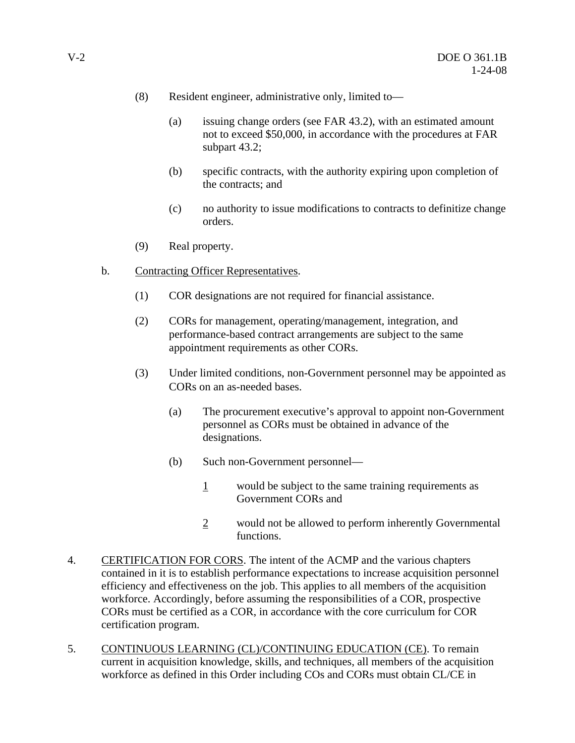- (8) Resident engineer, administrative only, limited to—
	- (a) issuing change orders (see FAR 43.2), with an estimated amount not to exceed \$50,000, in accordance with the procedures at FAR subpart 43.2;
	- (b) specific contracts, with the authority expiring upon completion of the contracts; and
	- (c) no authority to issue modifications to contracts to definitize change orders.
- (9) Real property.
- b. Contracting Officer Representatives.
	- (1) COR designations are not required for financial assistance.
	- (2) CORs for management, operating/management, integration, and performance-based contract arrangements are subject to the same appointment requirements as other CORs.
	- (3) Under limited conditions, non-Government personnel may be appointed as CORs on an as-needed bases.
		- (a) The procurement executive's approval to appoint non-Government personnel as CORs must be obtained in advance of the designations.
		- (b) Such non-Government personnel—
			- 1 would be subject to the same training requirements as Government CORs and
			- 2 would not be allowed to perform inherently Governmental functions.
- 4. CERTIFICATION FOR CORS. The intent of the ACMP and the various chapters contained in it is to establish performance expectations to increase acquisition personnel efficiency and effectiveness on the job. This applies to all members of the acquisition workforce. Accordingly, before assuming the responsibilities of a COR, prospective CORs must be certified as a COR, in accordance with the core curriculum for COR certification program.
- 5. CONTINUOUS LEARNING (CL)/CONTINUING EDUCATION (CE). To remain current in acquisition knowledge, skills, and techniques, all members of the acquisition workforce as defined in this Order including COs and CORs must obtain CL/CE in